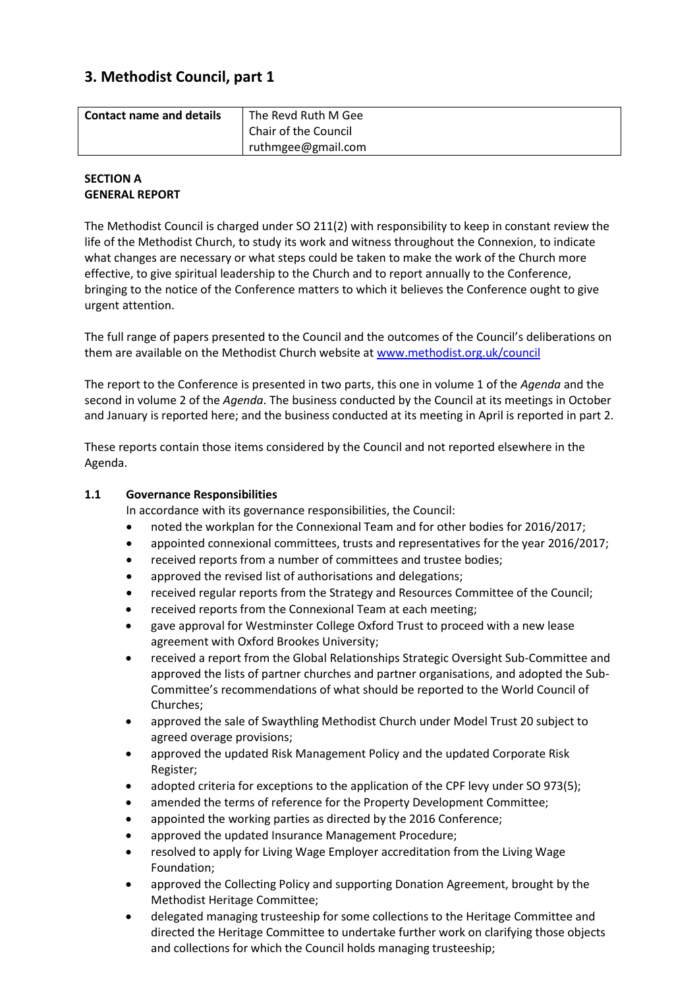# **3. Methodist Council, part 1**

| <b>Contact name and details</b> | The Revd Ruth M Gee<br>Chair of the Council |
|---------------------------------|---------------------------------------------|
|                                 | ruthmgee@gmail.com                          |

#### **SECTION A GENERAL REPORT**

The Methodist Council is charged under SO 211(2) with responsibility to keep in constant review the life of the Methodist Church, to study its work and witness throughout the Connexion, to indicate what changes are necessary or what steps could be taken to make the work of the Church more effective, to give spiritual leadership to the Church and to report annually to the Conference, bringing to the notice of the Conference matters to which it believes the Conference ought to give urgent attention.

The full range of papers presented to the Council and the outcomes of the Council's deliberations on them are available on the Methodist Church website at [www.methodist.org.uk/council](http://www.methodist.org.uk/council)

The report to the Conference is presented in two parts, this one in volume 1 of the *Agenda* and the second in volume 2 of the *Agenda*. The business conducted by the Council at its meetings in October and January is reported here; and the business conducted at its meeting in April is reported in part 2.

These reports contain those items considered by the Council and not reported elsewhere in the Agenda.

## **1.1 Governance Responsibilities**

In accordance with its governance responsibilities, the Council:

- noted the workplan for the Connexional Team and for other bodies for 2016/2017;
- appointed connexional committees, trusts and representatives for the year 2016/2017;
- received reports from a number of committees and trustee bodies;
- approved the revised list of authorisations and delegations;
- received regular reports from the Strategy and Resources Committee of the Council;
- received reports from the Connexional Team at each meeting;
- gave approval for Westminster College Oxford Trust to proceed with a new lease agreement with Oxford Brookes University;
- received a report from the Global Relationships Strategic Oversight Sub-Committee and approved the lists of partner churches and partner organisations, and adopted the Sub-Committee's recommendations of what should be reported to the World Council of Churches;
- approved the sale of Swaythling Methodist Church under Model Trust 20 subject to agreed overage provisions;
- approved the updated Risk Management Policy and the updated Corporate Risk Register;
- adopted criteria for exceptions to the application of the CPF levy under SO 973(5);
- amended the terms of reference for the Property Development Committee;
- appointed the working parties as directed by the 2016 Conference;
- approved the updated Insurance Management Procedure;
- resolved to apply for Living Wage Employer accreditation from the Living Wage Foundation;
- approved the Collecting Policy and supporting Donation Agreement, brought by the Methodist Heritage Committee;
- delegated managing trusteeship for some collections to the Heritage Committee and directed the Heritage Committee to undertake further work on clarifying those objects and collections for which the Council holds managing trusteeship;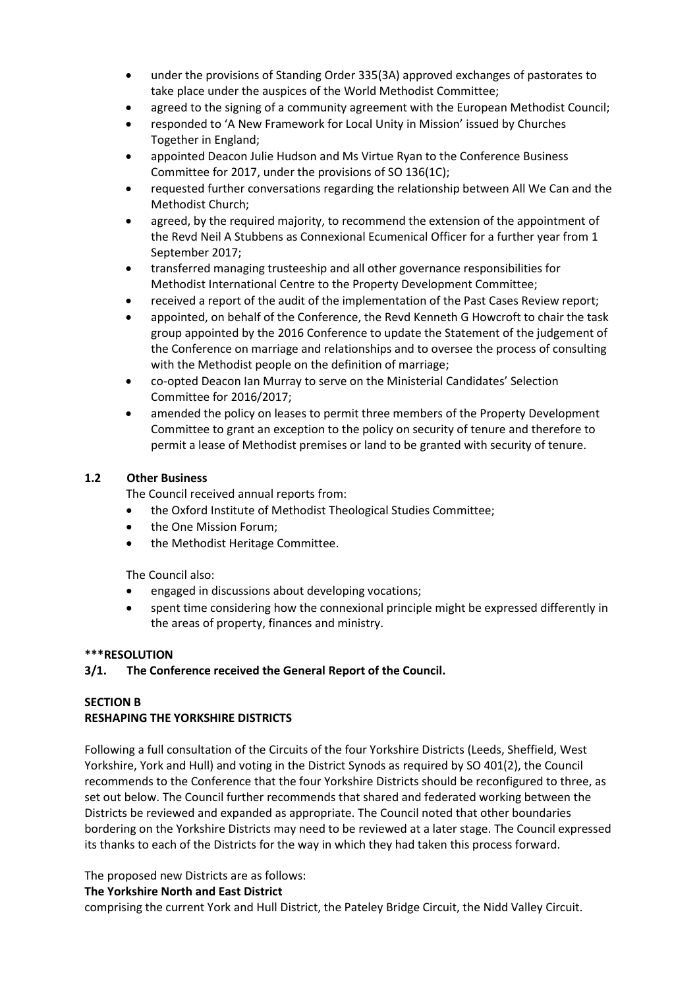- under the provisions of Standing Order 335(3A) approved exchanges of pastorates to take place under the auspices of the World Methodist Committee;
- agreed to the signing of a community agreement with the European Methodist Council;
- responded to 'A New Framework for Local Unity in Mission' issued by Churches Together in England;
- appointed Deacon Julie Hudson and Ms Virtue Ryan to the Conference Business Committee for 2017, under the provisions of SO 136(1C);
- requested further conversations regarding the relationship between All We Can and the Methodist Church;
- agreed, by the required majority, to recommend the extension of the appointment of the Revd Neil A Stubbens as Connexional Ecumenical Officer for a further year from 1 September 2017;
- transferred managing trusteeship and all other governance responsibilities for Methodist International Centre to the Property Development Committee;
- received a report of the audit of the implementation of the Past Cases Review report;
- appointed, on behalf of the Conference, the Revd Kenneth G Howcroft to chair the task group appointed by the 2016 Conference to update the Statement of the judgement of the Conference on marriage and relationships and to oversee the process of consulting with the Methodist people on the definition of marriage;
- co-opted Deacon Ian Murray to serve on the Ministerial Candidates' Selection Committee for 2016/2017;
- amended the policy on leases to permit three members of the Property Development Committee to grant an exception to the policy on security of tenure and therefore to permit a lease of Methodist premises or land to be granted with security of tenure.

## **1.2 Other Business**

The Council received annual reports from:

- the Oxford Institute of Methodist Theological Studies Committee;
- the One Mission Forum;
- the Methodist Heritage Committee.

The Council also:

- engaged in discussions about developing vocations;
- spent time considering how the connexional principle might be expressed differently in the areas of property, finances and ministry.

## **\*\*\*RESOLUTION**

## **3/1. The Conference received the General Report of the Council.**

## **SECTION B**

## **RESHAPING THE YORKSHIRE DISTRICTS**

Following a full consultation of the Circuits of the four Yorkshire Districts (Leeds, Sheffield, West Yorkshire, York and Hull) and voting in the District Synods as required by SO 401(2), the Council recommends to the Conference that the four Yorkshire Districts should be reconfigured to three, as set out below. The Council further recommends that shared and federated working between the Districts be reviewed and expanded as appropriate. The Council noted that other boundaries bordering on the Yorkshire Districts may need to be reviewed at a later stage. The Council expressed its thanks to each of the Districts for the way in which they had taken this process forward.

The proposed new Districts are as follows:

**The Yorkshire North and East District**

comprising the current York and Hull District, the Pateley Bridge Circuit, the Nidd Valley Circuit.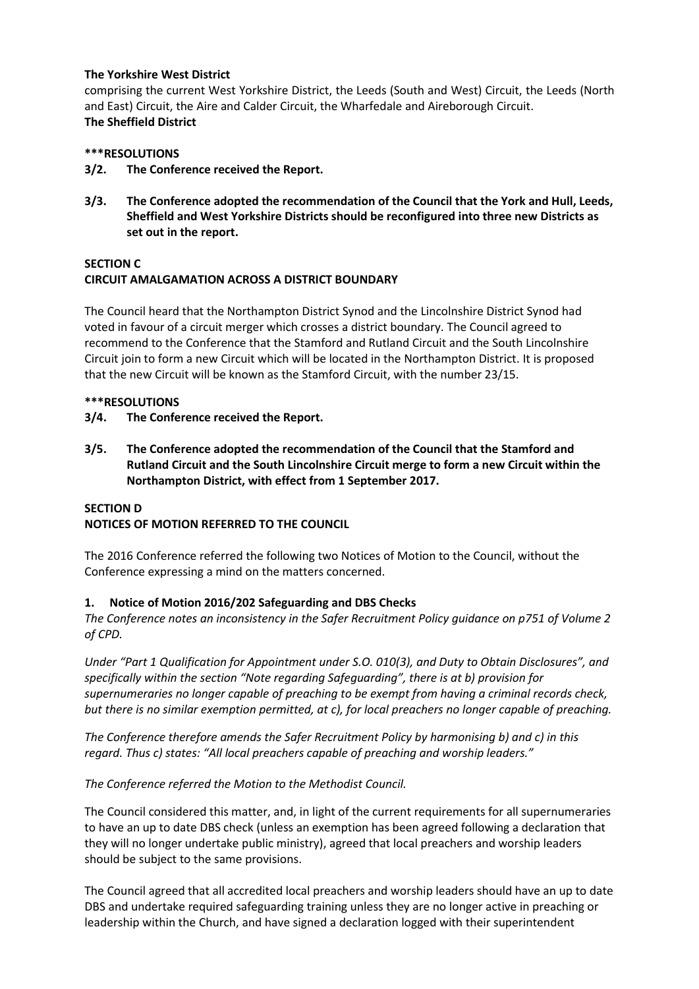#### **The Yorkshire West District**

comprising the current West Yorkshire District, the Leeds (South and West) Circuit, the Leeds (North and East) Circuit, the Aire and Calder Circuit, the Wharfedale and Aireborough Circuit. **The Sheffield District**

#### **\*\*\*RESOLUTIONS**

- **3/2. The Conference received the Report.**
- **3/3. The Conference adopted the recommendation of the Council that the York and Hull, Leeds, Sheffield and West Yorkshire Districts should be reconfigured into three new Districts as set out in the report.**

#### **SECTION C**

## **CIRCUIT AMALGAMATION ACROSS A DISTRICT BOUNDARY**

The Council heard that the Northampton District Synod and the Lincolnshire District Synod had voted in favour of a circuit merger which crosses a district boundary. The Council agreed to recommend to the Conference that the Stamford and Rutland Circuit and the South Lincolnshire Circuit join to form a new Circuit which will be located in the Northampton District. It is proposed that the new Circuit will be known as the Stamford Circuit, with the number 23/15.

#### **\*\*\*RESOLUTIONS**

- **3/4. The Conference received the Report.**
- **3/5. The Conference adopted the recommendation of the Council that the Stamford and Rutland Circuit and the South Lincolnshire Circuit merge to form a new Circuit within the Northampton District, with effect from 1 September 2017.**

## **SECTION D NOTICES OF MOTION REFERRED TO THE COUNCIL**

The 2016 Conference referred the following two Notices of Motion to the Council, without the Conference expressing a mind on the matters concerned.

## **1. Notice of Motion 2016/202 Safeguarding and DBS Checks**

*The Conference notes an inconsistency in the Safer Recruitment Policy guidance on p751 of Volume 2 of CPD.*

*Under "Part 1 Qualification for Appointment under S.O. 010(3), and Duty to Obtain Disclosures", and specifically within the section "Note regarding Safeguarding", there is at b) provision for supernumeraries no longer capable of preaching to be exempt from having a criminal records check, but there is no similar exemption permitted, at c), for local preachers no longer capable of preaching.*

*The Conference therefore amends the Safer Recruitment Policy by harmonising b) and c) in this regard. Thus c) states: "All local preachers capable of preaching and worship leaders."*

*The Conference referred the Motion to the Methodist Council.*

The Council considered this matter, and, in light of the current requirements for all supernumeraries to have an up to date DBS check (unless an exemption has been agreed following a declaration that they will no longer undertake public ministry), agreed that local preachers and worship leaders should be subject to the same provisions.

The Council agreed that all accredited local preachers and worship leaders should have an up to date DBS and undertake required safeguarding training unless they are no longer active in preaching or leadership within the Church, and have signed a declaration logged with their superintendent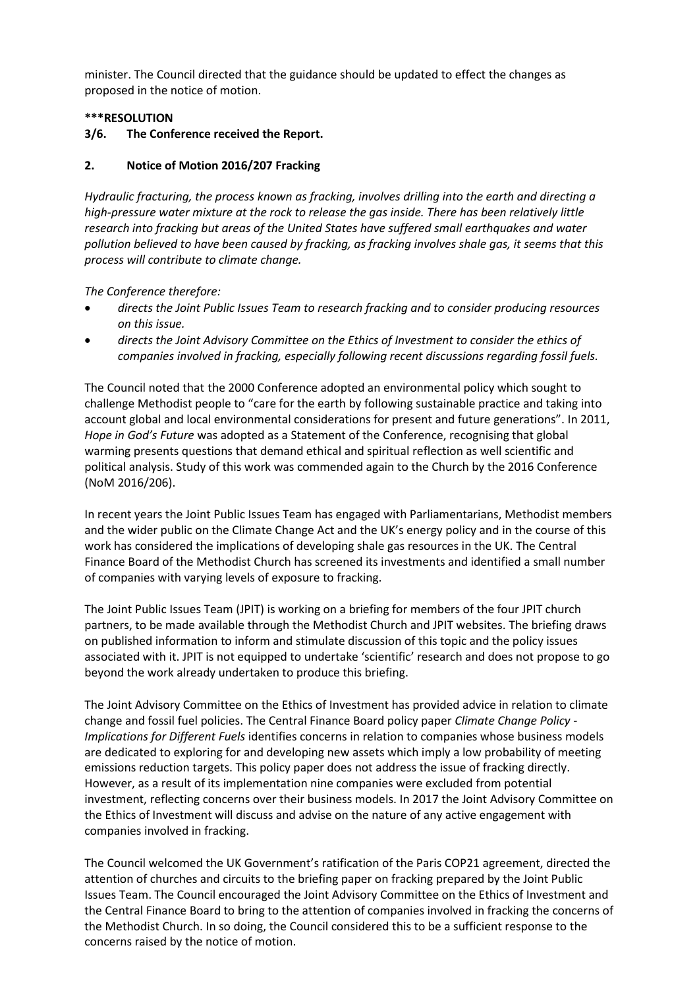minister. The Council directed that the guidance should be updated to effect the changes as proposed in the notice of motion.

### **\*\*\*RESOLUTION**

### **3/6. The Conference received the Report.**

#### **2. Notice of Motion 2016/207 Fracking**

*Hydraulic fracturing, the process known as fracking, involves drilling into the earth and directing a high-pressure water mixture at the rock to release the gas inside. There has been relatively little research into fracking but areas of the United States have suffered small earthquakes and water pollution believed to have been caused by fracking, as fracking involves shale gas, it seems that this process will contribute to climate change.* 

*The Conference therefore:* 

- *directs the Joint Public Issues Team to research fracking and to consider producing resources on this issue.*
- *directs the Joint Advisory Committee on the Ethics of Investment to consider the ethics of companies involved in fracking, especially following recent discussions regarding fossil fuels.*

The Council noted that the 2000 Conference adopted an environmental policy which sought to challenge Methodist people to "care for the earth by following sustainable practice and taking into account global and local environmental considerations for present and future generations". In 2011, *Hope in God's Future* was adopted as a Statement of the Conference, recognising that global warming presents questions that demand ethical and spiritual reflection as well scientific and political analysis. Study of this work was commended again to the Church by the 2016 Conference (NoM 2016/206).

In recent years the Joint Public Issues Team has engaged with Parliamentarians, Methodist members and the wider public on the Climate Change Act and the UK's energy policy and in the course of this work has considered the implications of developing shale gas resources in the UK. The Central Finance Board of the Methodist Church has screened its investments and identified a small number of companies with varying levels of exposure to fracking.

The Joint Public Issues Team (JPIT) is working on a briefing for members of the four JPIT church partners, to be made available through the Methodist Church and JPIT websites. The briefing draws on published information to inform and stimulate discussion of this topic and the policy issues associated with it. JPIT is not equipped to undertake 'scientific' research and does not propose to go beyond the work already undertaken to produce this briefing.

The Joint Advisory Committee on the Ethics of Investment has provided advice in relation to climate change and fossil fuel policies. The Central Finance Board policy paper *Climate Change Policy - Implications for Different Fuels* identifies concerns in relation to companies whose business models are dedicated to exploring for and developing new assets which imply a low probability of meeting emissions reduction targets. This policy paper does not address the issue of fracking directly. However, as a result of its implementation nine companies were excluded from potential investment, reflecting concerns over their business models. In 2017 the Joint Advisory Committee on the Ethics of Investment will discuss and advise on the nature of any active engagement with companies involved in fracking.

The Council welcomed the UK Government's ratification of the Paris COP21 agreement, directed the attention of churches and circuits to the briefing paper on fracking prepared by the Joint Public Issues Team. The Council encouraged the Joint Advisory Committee on the Ethics of Investment and the Central Finance Board to bring to the attention of companies involved in fracking the concerns of the Methodist Church. In so doing, the Council considered this to be a sufficient response to the concerns raised by the notice of motion.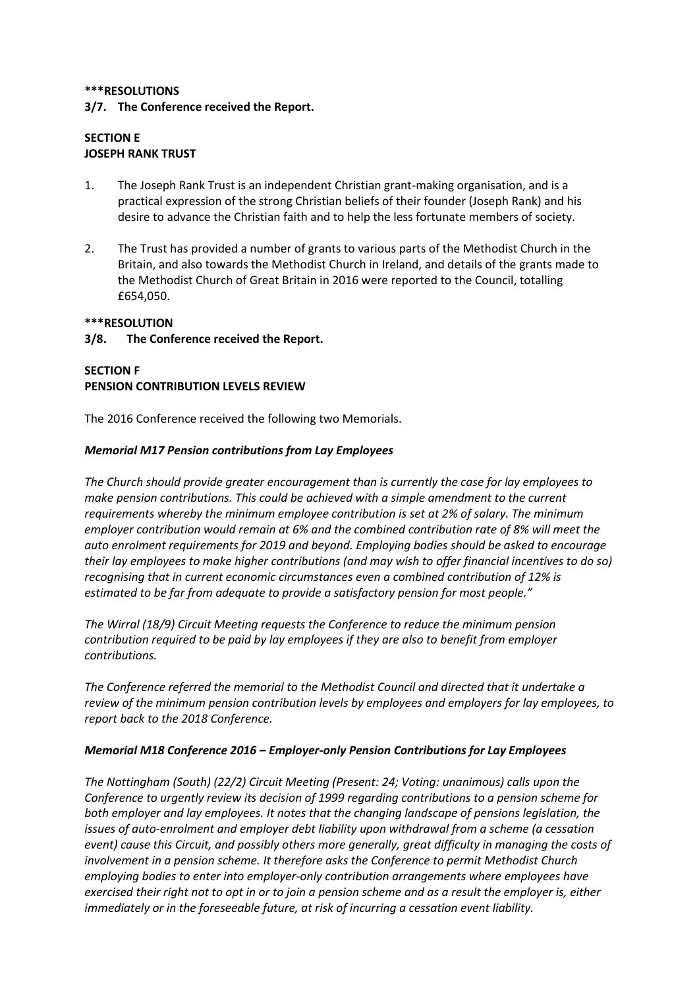## **\*\*\*RESOLUTIONS 3/7. The Conference received the Report.**

## **SECTION E JOSEPH RANK TRUST**

- 1. The Joseph Rank Trust is an independent Christian grant-making organisation, and is a practical expression of the strong Christian beliefs of their founder (Joseph Rank) and his desire to advance the Christian faith and to help the less fortunate members of society.
- 2. The Trust has provided a number of grants to various parts of the Methodist Church in the Britain, and also towards the Methodist Church in Ireland, and details of the grants made to the Methodist Church of Great Britain in 2016 were reported to the Council, totalling £654,050.

## **\*\*\*RESOLUTION**

## **3/8. The Conference received the Report.**

## **SECTION F PENSION CONTRIBUTION LEVELS REVIEW**

The 2016 Conference received the following two Memorials.

## *Memorial M17 Pension contributions from Lay Employees*

*The Church should provide greater encouragement than is currently the case for lay employees to make pension contributions. This could be achieved with a simple amendment to the current requirements whereby the minimum employee contribution is set at 2% of salary. The minimum employer contribution would remain at 6% and the combined contribution rate of 8% will meet the auto enrolment requirements for 2019 and beyond. Employing bodies should be asked to encourage their lay employees to make higher contributions (and may wish to offer financial incentives to do so) recognising that in current economic circumstances even a combined contribution of 12% is estimated to be far from adequate to provide a satisfactory pension for most people."*

*The Wirral (18/9) Circuit Meeting requests the Conference to reduce the minimum pension contribution required to be paid by lay employees if they are also to benefit from employer contributions.*

*The Conference referred the memorial to the Methodist Council and directed that it undertake a review of the minimum pension contribution levels by employees and employers for lay employees, to report back to the 2018 Conference.* 

## *Memorial M18 Conference 2016 – Employer-only Pension Contributions for Lay Employees*

*The Nottingham (South) (22/2) Circuit Meeting (Present: 24; Voting: unanimous) calls upon the Conference to urgently review its decision of 1999 regarding contributions to a pension scheme for both employer and lay employees. It notes that the changing landscape of pensions legislation, the issues of auto-enrolment and employer debt liability upon withdrawal from a scheme (a cessation event) cause this Circuit, and possibly others more generally, great difficulty in managing the costs of involvement in a pension scheme. It therefore asks the Conference to permit Methodist Church employing bodies to enter into employer-only contribution arrangements where employees have exercised their right not to opt in or to join a pension scheme and as a result the employer is, either immediately or in the foreseeable future, at risk of incurring a cessation event liability.*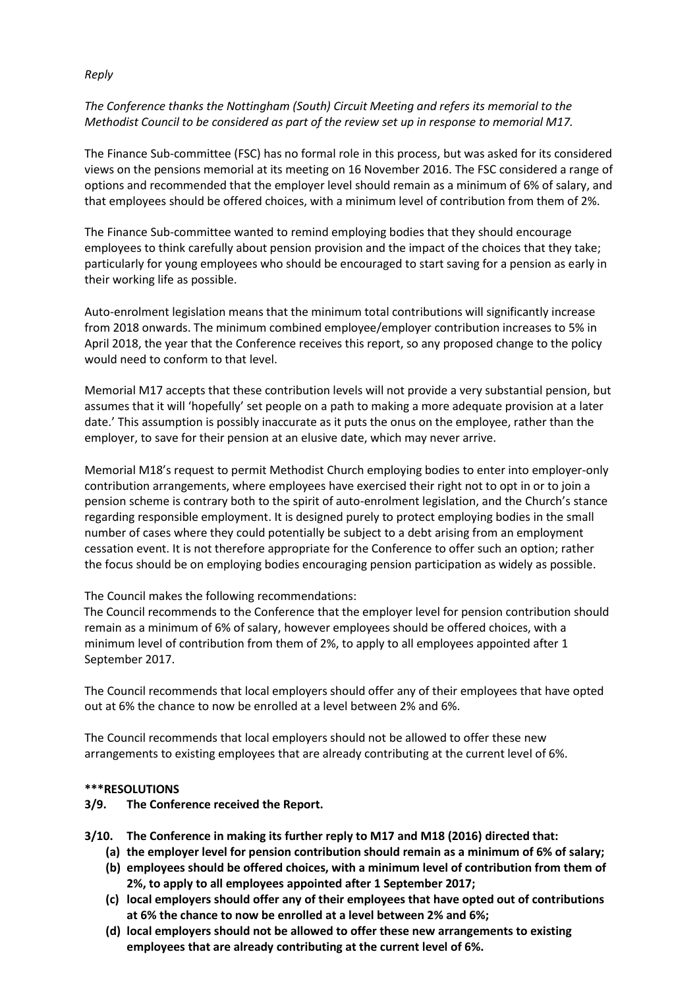#### *Reply*

## *The Conference thanks the Nottingham (South) Circuit Meeting and refers its memorial to the Methodist Council to be considered as part of the review set up in response to memorial M17.*

The Finance Sub-committee (FSC) has no formal role in this process, but was asked for its considered views on the pensions memorial at its meeting on 16 November 2016. The FSC considered a range of options and recommended that the employer level should remain as a minimum of 6% of salary, and that employees should be offered choices, with a minimum level of contribution from them of 2%.

The Finance Sub-committee wanted to remind employing bodies that they should encourage employees to think carefully about pension provision and the impact of the choices that they take; particularly for young employees who should be encouraged to start saving for a pension as early in their working life as possible.

Auto-enrolment legislation means that the minimum total contributions will significantly increase from 2018 onwards. The minimum combined employee/employer contribution increases to 5% in April 2018, the year that the Conference receives this report, so any proposed change to the policy would need to conform to that level.

Memorial M17 accepts that these contribution levels will not provide a very substantial pension, but assumes that it will 'hopefully' set people on a path to making a more adequate provision at a later date.' This assumption is possibly inaccurate as it puts the onus on the employee, rather than the employer, to save for their pension at an elusive date, which may never arrive.

Memorial M18's request to permit Methodist Church employing bodies to enter into employer-only contribution arrangements, where employees have exercised their right not to opt in or to join a pension scheme is contrary both to the spirit of auto-enrolment legislation, and the Church's stance regarding responsible employment. It is designed purely to protect employing bodies in the small number of cases where they could potentially be subject to a debt arising from an employment cessation event. It is not therefore appropriate for the Conference to offer such an option; rather the focus should be on employing bodies encouraging pension participation as widely as possible.

#### The Council makes the following recommendations:

The Council recommends to the Conference that the employer level for pension contribution should remain as a minimum of 6% of salary, however employees should be offered choices, with a minimum level of contribution from them of 2%, to apply to all employees appointed after 1 September 2017.

The Council recommends that local employers should offer any of their employees that have opted out at 6% the chance to now be enrolled at a level between 2% and 6%.

The Council recommends that local employers should not be allowed to offer these new arrangements to existing employees that are already contributing at the current level of 6%.

#### **\*\*\*RESOLUTIONS**

**3/9. The Conference received the Report.**

**3/10. The Conference in making its further reply to M17 and M18 (2016) directed that:**

- **(a) the employer level for pension contribution should remain as a minimum of 6% of salary;**
- **(b) employees should be offered choices, with a minimum level of contribution from them of 2%, to apply to all employees appointed after 1 September 2017;**
- **(c) local employers should offer any of their employees that have opted out of contributions at 6% the chance to now be enrolled at a level between 2% and 6%;**
- **(d) local employers should not be allowed to offer these new arrangements to existing employees that are already contributing at the current level of 6%.**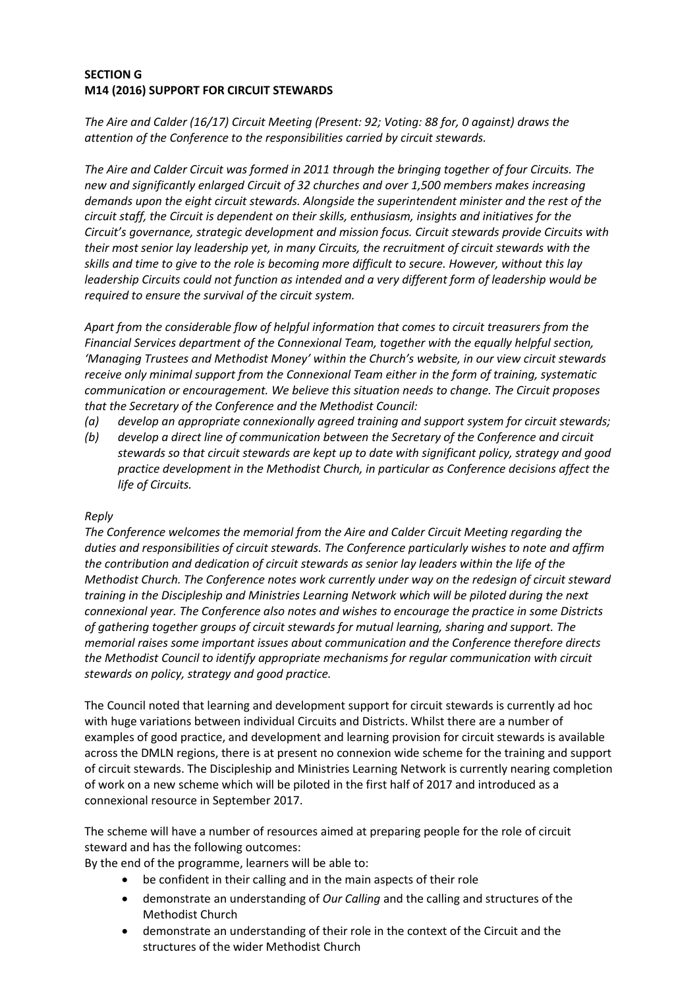## **SECTION G M14 (2016) SUPPORT FOR CIRCUIT STEWARDS**

*The Aire and Calder (16/17) Circuit Meeting (Present: 92; Voting: 88 for, 0 against) draws the attention of the Conference to the responsibilities carried by circuit stewards.*

*The Aire and Calder Circuit was formed in 2011 through the bringing together of four Circuits. The new and significantly enlarged Circuit of 32 churches and over 1,500 members makes increasing demands upon the eight circuit stewards. Alongside the superintendent minister and the rest of the circuit staff, the Circuit is dependent on their skills, enthusiasm, insights and initiatives for the Circuit's governance, strategic development and mission focus. Circuit stewards provide Circuits with their most senior lay leadership yet, in many Circuits, the recruitment of circuit stewards with the skills and time to give to the role is becoming more difficult to secure. However, without this lay leadership Circuits could not function as intended and a very different form of leadership would be required to ensure the survival of the circuit system.*

*Apart from the considerable flow of helpful information that comes to circuit treasurers from the Financial Services department of the Connexional Team, together with the equally helpful section, 'Managing Trustees and Methodist Money' within the Church's website, in our view circuit stewards receive only minimal support from the Connexional Team either in the form of training, systematic communication or encouragement. We believe this situation needs to change. The Circuit proposes that the Secretary of the Conference and the Methodist Council:*

- *(a) develop an appropriate connexionally agreed training and support system for circuit stewards;*
- *(b) develop a direct line of communication between the Secretary of the Conference and circuit stewards so that circuit stewards are kept up to date with significant policy, strategy and good practice development in the Methodist Church, in particular as Conference decisions affect the life of Circuits.*

#### *Reply*

*The Conference welcomes the memorial from the Aire and Calder Circuit Meeting regarding the duties and responsibilities of circuit stewards. The Conference particularly wishes to note and affirm the contribution and dedication of circuit stewards as senior lay leaders within the life of the Methodist Church. The Conference notes work currently under way on the redesign of circuit steward training in the Discipleship and Ministries Learning Network which will be piloted during the next connexional year. The Conference also notes and wishes to encourage the practice in some Districts of gathering together groups of circuit stewards for mutual learning, sharing and support. The memorial raises some important issues about communication and the Conference therefore directs the Methodist Council to identify appropriate mechanisms for regular communication with circuit stewards on policy, strategy and good practice.*

The Council noted that learning and development support for circuit stewards is currently ad hoc with huge variations between individual Circuits and Districts. Whilst there are a number of examples of good practice, and development and learning provision for circuit stewards is available across the DMLN regions, there is at present no connexion wide scheme for the training and support of circuit stewards. The Discipleship and Ministries Learning Network is currently nearing completion of work on a new scheme which will be piloted in the first half of 2017 and introduced as a connexional resource in September 2017.

The scheme will have a number of resources aimed at preparing people for the role of circuit steward and has the following outcomes:

By the end of the programme, learners will be able to:

- be confident in their calling and in the main aspects of their role
- demonstrate an understanding of *Our Calling* and the calling and structures of the Methodist Church
- demonstrate an understanding of their role in the context of the Circuit and the structures of the wider Methodist Church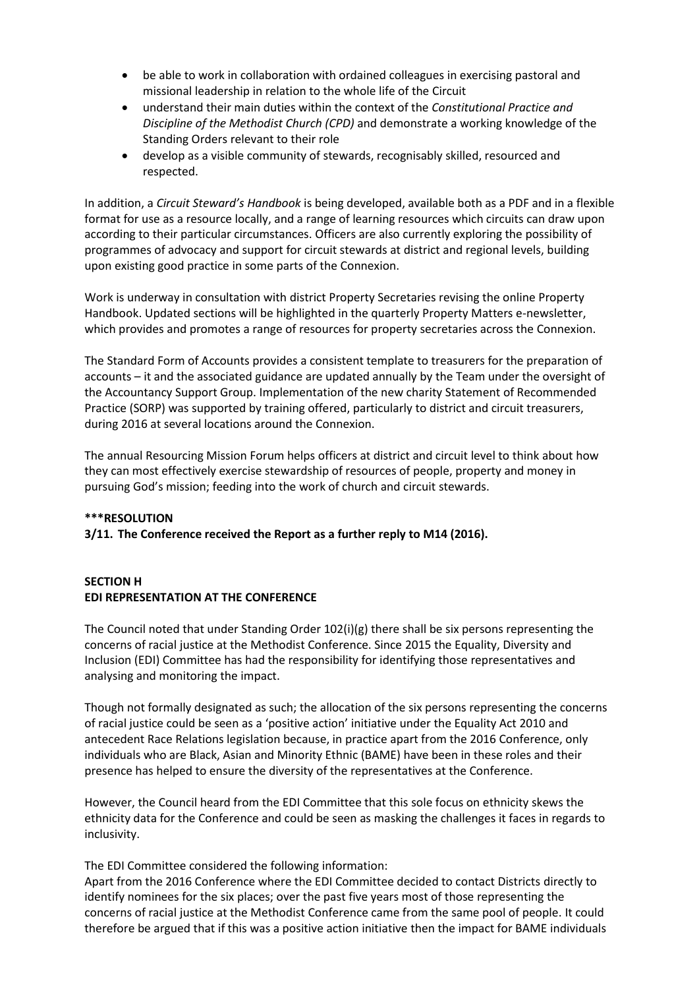- be able to work in collaboration with ordained colleagues in exercising pastoral and missional leadership in relation to the whole life of the Circuit
- understand their main duties within the context of the *Constitutional Practice and Discipline of the Methodist Church (CPD)* and demonstrate a working knowledge of the Standing Orders relevant to their role
- develop as a visible community of stewards, recognisably skilled, resourced and respected.

In addition, a *Circuit Steward's Handbook* is being developed, available both as a PDF and in a flexible format for use as a resource locally, and a range of learning resources which circuits can draw upon according to their particular circumstances. Officers are also currently exploring the possibility of programmes of advocacy and support for circuit stewards at district and regional levels, building upon existing good practice in some parts of the Connexion.

Work is underway in consultation with district Property Secretaries revising the online Property Handbook. Updated sections will be highlighted in the quarterly Property Matters e-newsletter, which provides and promotes a range of resources for property secretaries across the Connexion.

The Standard Form of Accounts provides a consistent template to treasurers for the preparation of accounts – it and the associated guidance are updated annually by the Team under the oversight of the Accountancy Support Group. Implementation of the new charity Statement of Recommended Practice (SORP) was supported by training offered, particularly to district and circuit treasurers, during 2016 at several locations around the Connexion.

The annual Resourcing Mission Forum helps officers at district and circuit level to think about how they can most effectively exercise stewardship of resources of people, property and money in pursuing God's mission; feeding into the work of church and circuit stewards.

#### **\*\*\*RESOLUTION**

## **3/11. The Conference received the Report as a further reply to M14 (2016).**

## **SECTION H EDI REPRESENTATION AT THE CONFERENCE**

The Council noted that under Standing Order 102(i)(g) there shall be six persons representing the concerns of racial justice at the Methodist Conference. Since 2015 the Equality, Diversity and Inclusion (EDI) Committee has had the responsibility for identifying those representatives and analysing and monitoring the impact.

Though not formally designated as such; the allocation of the six persons representing the concerns of racial justice could be seen as a 'positive action' initiative under the Equality Act 2010 and antecedent Race Relations legislation because, in practice apart from the 2016 Conference, only individuals who are Black, Asian and Minority Ethnic (BAME) have been in these roles and their presence has helped to ensure the diversity of the representatives at the Conference.

However, the Council heard from the EDI Committee that this sole focus on ethnicity skews the ethnicity data for the Conference and could be seen as masking the challenges it faces in regards to inclusivity.

#### The EDI Committee considered the following information:

Apart from the 2016 Conference where the EDI Committee decided to contact Districts directly to identify nominees for the six places; over the past five years most of those representing the concerns of racial justice at the Methodist Conference came from the same pool of people. It could therefore be argued that if this was a positive action initiative then the impact for BAME individuals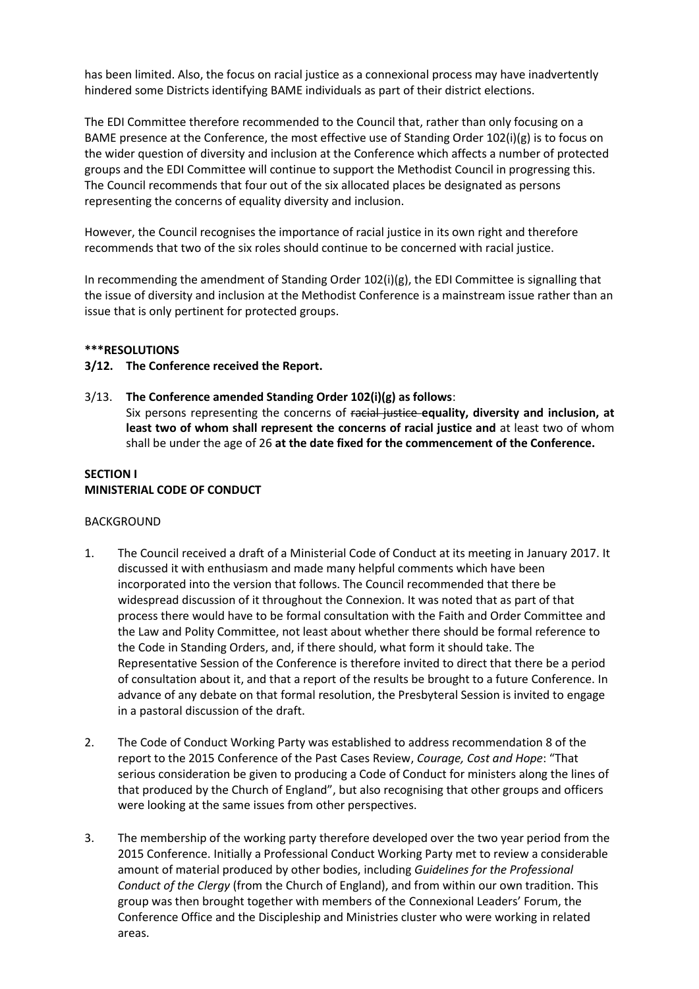has been limited. Also, the focus on racial justice as a connexional process may have inadvertently hindered some Districts identifying BAME individuals as part of their district elections.

The EDI Committee therefore recommended to the Council that, rather than only focusing on a BAME presence at the Conference, the most effective use of Standing Order 102(i)(g) is to focus on the wider question of diversity and inclusion at the Conference which affects a number of protected groups and the EDI Committee will continue to support the Methodist Council in progressing this. The Council recommends that four out of the six allocated places be designated as persons representing the concerns of equality diversity and inclusion.

However, the Council recognises the importance of racial justice in its own right and therefore recommends that two of the six roles should continue to be concerned with racial justice.

In recommending the amendment of Standing Order 102(i)(g), the EDI Committee is signalling that the issue of diversity and inclusion at the Methodist Conference is a mainstream issue rather than an issue that is only pertinent for protected groups.

#### **\*\*\*RESOLUTIONS**

#### **3/12. The Conference received the Report.**

3/13. **The Conference amended Standing Order 102(i)(g) as follows**: Six persons representing the concerns of racial justice **equality, diversity and inclusion, at least two of whom shall represent the concerns of racial justice and** at least two of whom

# shall be under the age of 26 **at the date fixed for the commencement of the Conference.**

### **SECTION I MINISTERIAL CODE OF CONDUCT**

#### BACKGROUND

- 1. The Council received a draft of a Ministerial Code of Conduct at its meeting in January 2017. It discussed it with enthusiasm and made many helpful comments which have been incorporated into the version that follows. The Council recommended that there be widespread discussion of it throughout the Connexion. It was noted that as part of that process there would have to be formal consultation with the Faith and Order Committee and the Law and Polity Committee, not least about whether there should be formal reference to the Code in Standing Orders, and, if there should, what form it should take. The Representative Session of the Conference is therefore invited to direct that there be a period of consultation about it, and that a report of the results be brought to a future Conference. In advance of any debate on that formal resolution, the Presbyteral Session is invited to engage in a pastoral discussion of the draft.
- 2. The Code of Conduct Working Party was established to address recommendation 8 of the report to the 2015 Conference of the Past Cases Review, *Courage, Cost and Hope*: "That serious consideration be given to producing a Code of Conduct for ministers along the lines of that produced by the Church of England", but also recognising that other groups and officers were looking at the same issues from other perspectives.
- 3. The membership of the working party therefore developed over the two year period from the 2015 Conference. Initially a Professional Conduct Working Party met to review a considerable amount of material produced by other bodies, including *Guidelines for the Professional Conduct of the Clergy* (from the Church of England), and from within our own tradition. This group was then brought together with members of the Connexional Leaders' Forum, the Conference Office and the Discipleship and Ministries cluster who were working in related areas.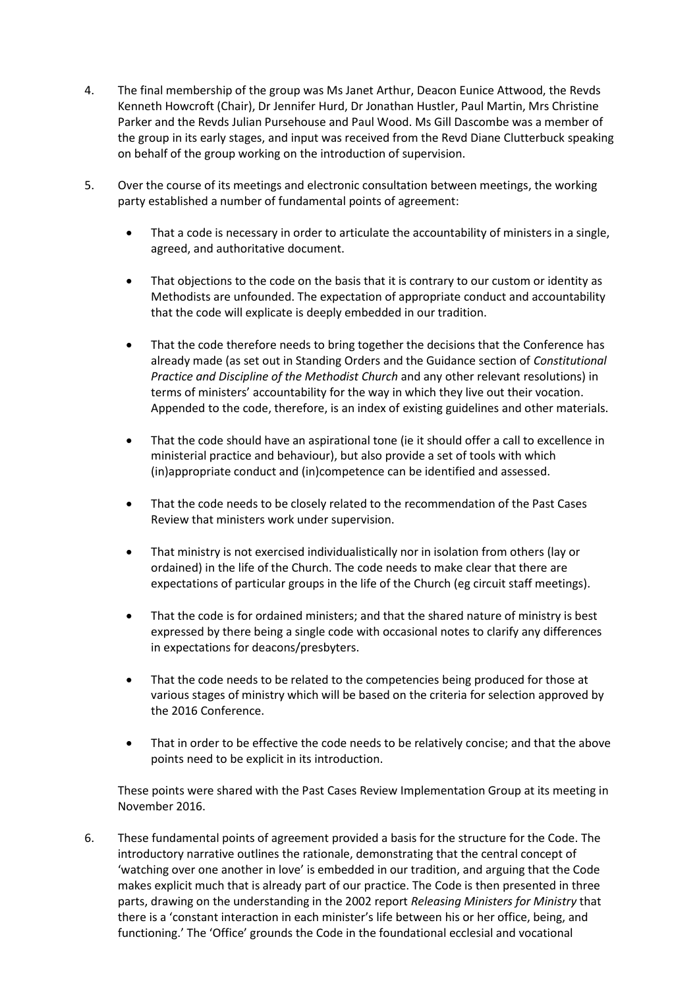- 4. The final membership of the group was Ms Janet Arthur, Deacon Eunice Attwood, the Revds Kenneth Howcroft (Chair), Dr Jennifer Hurd, Dr Jonathan Hustler, Paul Martin, Mrs Christine Parker and the Revds Julian Pursehouse and Paul Wood. Ms Gill Dascombe was a member of the group in its early stages, and input was received from the Revd Diane Clutterbuck speaking on behalf of the group working on the introduction of supervision.
- 5. Over the course of its meetings and electronic consultation between meetings, the working party established a number of fundamental points of agreement:
	- That a code is necessary in order to articulate the accountability of ministers in a single, agreed, and authoritative document.
	- That objections to the code on the basis that it is contrary to our custom or identity as Methodists are unfounded. The expectation of appropriate conduct and accountability that the code will explicate is deeply embedded in our tradition.
	- That the code therefore needs to bring together the decisions that the Conference has already made (as set out in Standing Orders and the Guidance section of *Constitutional Practice and Discipline of the Methodist Church* and any other relevant resolutions) in terms of ministers' accountability for the way in which they live out their vocation. Appended to the code, therefore, is an index of existing guidelines and other materials.
	- That the code should have an aspirational tone (ie it should offer a call to excellence in ministerial practice and behaviour), but also provide a set of tools with which (in)appropriate conduct and (in)competence can be identified and assessed.
	- That the code needs to be closely related to the recommendation of the Past Cases Review that ministers work under supervision.
	- That ministry is not exercised individualistically nor in isolation from others (lay or ordained) in the life of the Church. The code needs to make clear that there are expectations of particular groups in the life of the Church (eg circuit staff meetings).
	- That the code is for ordained ministers; and that the shared nature of ministry is best expressed by there being a single code with occasional notes to clarify any differences in expectations for deacons/presbyters.
	- That the code needs to be related to the competencies being produced for those at various stages of ministry which will be based on the criteria for selection approved by the 2016 Conference.
	- That in order to be effective the code needs to be relatively concise; and that the above points need to be explicit in its introduction.

These points were shared with the Past Cases Review Implementation Group at its meeting in November 2016.

6. These fundamental points of agreement provided a basis for the structure for the Code. The introductory narrative outlines the rationale, demonstrating that the central concept of 'watching over one another in love' is embedded in our tradition, and arguing that the Code makes explicit much that is already part of our practice. The Code is then presented in three parts, drawing on the understanding in the 2002 report *Releasing Ministers for Ministry* that there is a 'constant interaction in each minister's life between his or her office, being, and functioning.' The 'Office' grounds the Code in the foundational ecclesial and vocational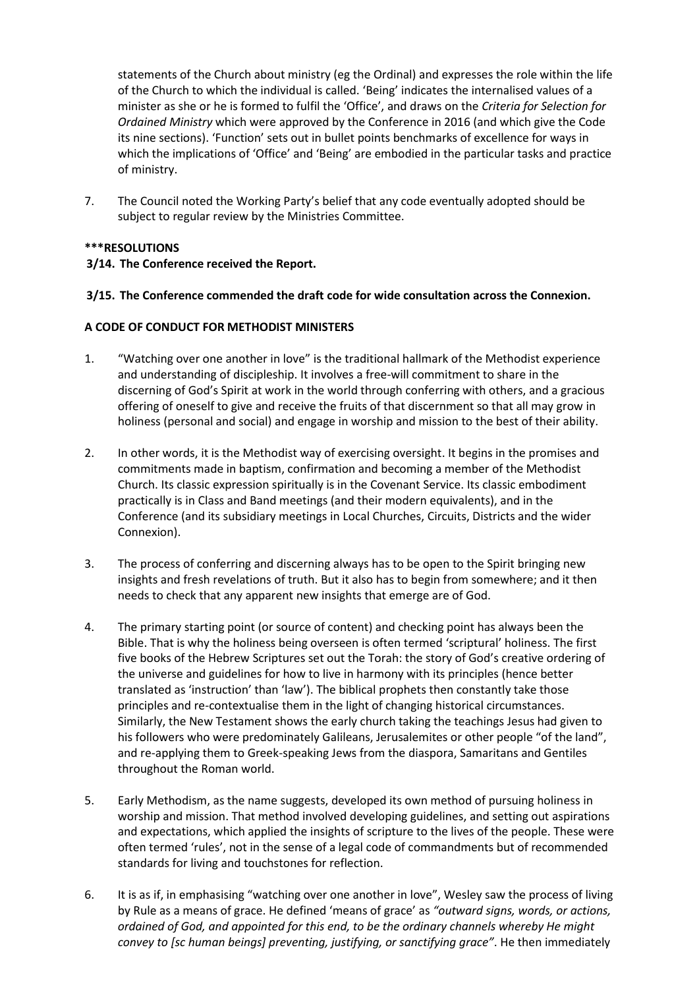statements of the Church about ministry (eg the Ordinal) and expresses the role within the life of the Church to which the individual is called. 'Being' indicates the internalised values of a minister as she or he is formed to fulfil the 'Office', and draws on the *Criteria for Selection for Ordained Ministry* which were approved by the Conference in 2016 (and which give the Code its nine sections). 'Function' sets out in bullet points benchmarks of excellence for ways in which the implications of 'Office' and 'Being' are embodied in the particular tasks and practice of ministry.

7. The Council noted the Working Party's belief that any code eventually adopted should be subject to regular review by the Ministries Committee.

## **\*\*\*RESOLUTIONS**

#### **3/14. The Conference received the Report.**

#### **3/15. The Conference commended the draft code for wide consultation across the Connexion.**

#### **A CODE OF CONDUCT FOR METHODIST MINISTERS**

- 1. "Watching over one another in love" is the traditional hallmark of the Methodist experience and understanding of discipleship. It involves a free-will commitment to share in the discerning of God's Spirit at work in the world through conferring with others, and a gracious offering of oneself to give and receive the fruits of that discernment so that all may grow in holiness (personal and social) and engage in worship and mission to the best of their ability.
- 2. In other words, it is the Methodist way of exercising oversight. It begins in the promises and commitments made in baptism, confirmation and becoming a member of the Methodist Church. Its classic expression spiritually is in the Covenant Service. Its classic embodiment practically is in Class and Band meetings (and their modern equivalents), and in the Conference (and its subsidiary meetings in Local Churches, Circuits, Districts and the wider Connexion).
- 3. The process of conferring and discerning always has to be open to the Spirit bringing new insights and fresh revelations of truth. But it also has to begin from somewhere; and it then needs to check that any apparent new insights that emerge are of God.
- 4. The primary starting point (or source of content) and checking point has always been the Bible. That is why the holiness being overseen is often termed 'scriptural' holiness. The first five books of the Hebrew Scriptures set out the Torah: the story of God's creative ordering of the universe and guidelines for how to live in harmony with its principles (hence better translated as 'instruction' than 'law'). The biblical prophets then constantly take those principles and re-contextualise them in the light of changing historical circumstances. Similarly, the New Testament shows the early church taking the teachings Jesus had given to his followers who were predominately Galileans, Jerusalemites or other people "of the land", and re-applying them to Greek-speaking Jews from the diaspora, Samaritans and Gentiles throughout the Roman world.
- 5. Early Methodism, as the name suggests, developed its own method of pursuing holiness in worship and mission. That method involved developing guidelines, and setting out aspirations and expectations, which applied the insights of scripture to the lives of the people. These were often termed 'rules', not in the sense of a legal code of commandments but of recommended standards for living and touchstones for reflection.
- 6. It is as if, in emphasising "watching over one another in love", Wesley saw the process of living by Rule as a means of grace. He defined 'means of grace' as *"outward signs, words, or actions, ordained of God, and appointed for this end, to be the ordinary channels whereby He might convey to [sc human beings] preventing, justifying, or sanctifying grace"*. He then immediately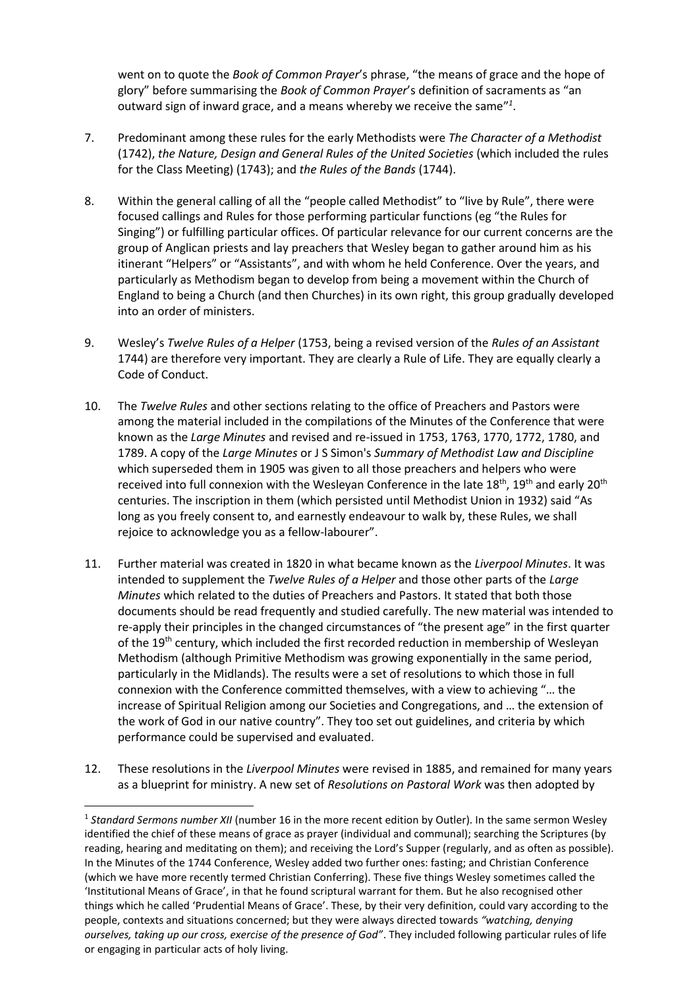went on to quote the *Book of Common Prayer*'s phrase, "the means of grace and the hope of glory" before summarising the *Book of Common Prayer*'s definition of sacraments as "an outward sign of inward grace, and a means whereby we receive the same<sup>"1</sup>.

- 7. Predominant among these rules for the early Methodists were *The Character of a Methodist*  (1742), *the Nature, Design and General Rules of the United Societies* (which included the rules for the Class Meeting) (1743); and *the Rules of the Bands* (1744).
- 8. Within the general calling of all the "people called Methodist" to "live by Rule", there were focused callings and Rules for those performing particular functions (eg "the Rules for Singing") or fulfilling particular offices. Of particular relevance for our current concerns are the group of Anglican priests and lay preachers that Wesley began to gather around him as his itinerant "Helpers" or "Assistants", and with whom he held Conference. Over the years, and particularly as Methodism began to develop from being a movement within the Church of England to being a Church (and then Churches) in its own right, this group gradually developed into an order of ministers.
- 9. Wesley's *Twelve Rules of a Helper* (1753, being a revised version of the *Rules of an Assistant*  1744) are therefore very important. They are clearly a Rule of Life. They are equally clearly a Code of Conduct.
- 10. The *Twelve Rules* and other sections relating to the office of Preachers and Pastors were among the material included in the compilations of the Minutes of the Conference that were known as the *Large Minutes* and revised and re-issued in 1753, 1763, 1770, 1772, 1780, and 1789. A copy of the *Large Minutes* or J S Simon's *Summary of Methodist Law and Discipline*  which superseded them in 1905 was given to all those preachers and helpers who were received into full connexion with the Wesleyan Conference in the late 18<sup>th</sup>, 19<sup>th</sup> and early 20<sup>th</sup> centuries. The inscription in them (which persisted until Methodist Union in 1932) said "As long as you freely consent to, and earnestly endeavour to walk by, these Rules, we shall rejoice to acknowledge you as a fellow-labourer".
- 11. Further material was created in 1820 in what became known as the *Liverpool Minutes*. It was intended to supplement the *Twelve Rules of a Helper* and those other parts of the *Large Minutes* which related to the duties of Preachers and Pastors. It stated that both those documents should be read frequently and studied carefully. The new material was intended to re-apply their principles in the changed circumstances of "the present age" in the first quarter of the 19<sup>th</sup> century, which included the first recorded reduction in membership of Wesleyan Methodism (although Primitive Methodism was growing exponentially in the same period, particularly in the Midlands). The results were a set of resolutions to which those in full connexion with the Conference committed themselves, with a view to achieving "… the increase of Spiritual Religion among our Societies and Congregations, and … the extension of the work of God in our native country". They too set out guidelines, and criteria by which performance could be supervised and evaluated.
- 12. These resolutions in the *Liverpool Minutes* were revised in 1885, and remained for many years as a blueprint for ministry. A new set of *Resolutions on Pastoral Work* was then adopted by

<sup>&</sup>lt;sup>1</sup> Standard Sermons number XII (number 16 in the more recent edition by Outler). In the same sermon Wesley identified the chief of these means of grace as prayer (individual and communal); searching the Scriptures (by reading, hearing and meditating on them); and receiving the Lord's Supper (regularly, and as often as possible). In the Minutes of the 1744 Conference, Wesley added two further ones: fasting; and Christian Conference (which we have more recently termed Christian Conferring). These five things Wesley sometimes called the 'Institutional Means of Grace', in that he found scriptural warrant for them. But he also recognised other things which he called 'Prudential Means of Grace'. These, by their very definition, could vary according to the people, contexts and situations concerned; but they were always directed towards *"watching, denying ourselves, taking up our cross, exercise of the presence of God"*. They included following particular rules of life or engaging in particular acts of holy living.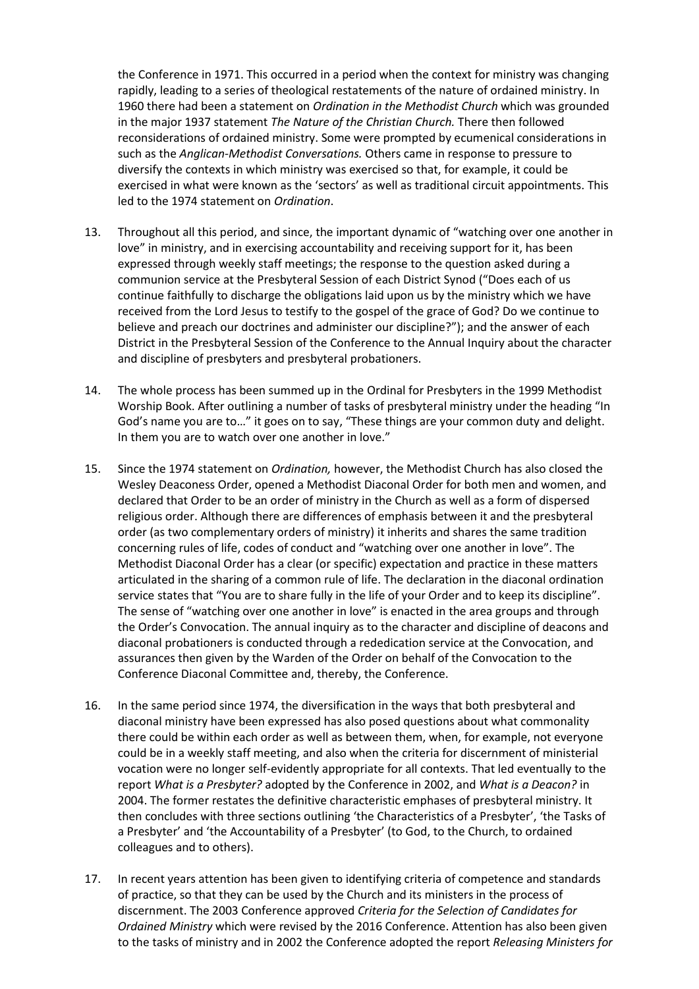the Conference in 1971. This occurred in a period when the context for ministry was changing rapidly, leading to a series of theological restatements of the nature of ordained ministry. In 1960 there had been a statement on *Ordination in the Methodist Church* which was grounded in the major 1937 statement *The Nature of the Christian Church.* There then followed reconsiderations of ordained ministry. Some were prompted by ecumenical considerations in such as the *Anglican-Methodist Conversations.* Others came in response to pressure to diversify the contexts in which ministry was exercised so that, for example, it could be exercised in what were known as the 'sectors' as well as traditional circuit appointments. This led to the 1974 statement on *Ordination*.

- 13. Throughout all this period, and since, the important dynamic of "watching over one another in love" in ministry, and in exercising accountability and receiving support for it, has been expressed through weekly staff meetings; the response to the question asked during a communion service at the Presbyteral Session of each District Synod ("Does each of us continue faithfully to discharge the obligations laid upon us by the ministry which we have received from the Lord Jesus to testify to the gospel of the grace of God? Do we continue to believe and preach our doctrines and administer our discipline?"); and the answer of each District in the Presbyteral Session of the Conference to the Annual Inquiry about the character and discipline of presbyters and presbyteral probationers.
- 14. The whole process has been summed up in the Ordinal for Presbyters in the 1999 Methodist Worship Book. After outlining a number of tasks of presbyteral ministry under the heading "In God's name you are to…" it goes on to say, "These things are your common duty and delight. In them you are to watch over one another in love."
- 15. Since the 1974 statement on *Ordination,* however, the Methodist Church has also closed the Wesley Deaconess Order, opened a Methodist Diaconal Order for both men and women, and declared that Order to be an order of ministry in the Church as well as a form of dispersed religious order. Although there are differences of emphasis between it and the presbyteral order (as two complementary orders of ministry) it inherits and shares the same tradition concerning rules of life, codes of conduct and "watching over one another in love". The Methodist Diaconal Order has a clear (or specific) expectation and practice in these matters articulated in the sharing of a common rule of life. The declaration in the diaconal ordination service states that "You are to share fully in the life of your Order and to keep its discipline". The sense of "watching over one another in love" is enacted in the area groups and through the Order's Convocation. The annual inquiry as to the character and discipline of deacons and diaconal probationers is conducted through a rededication service at the Convocation, and assurances then given by the Warden of the Order on behalf of the Convocation to the Conference Diaconal Committee and, thereby, the Conference.
- 16. In the same period since 1974, the diversification in the ways that both presbyteral and diaconal ministry have been expressed has also posed questions about what commonality there could be within each order as well as between them, when, for example, not everyone could be in a weekly staff meeting, and also when the criteria for discernment of ministerial vocation were no longer self-evidently appropriate for all contexts. That led eventually to the report *What is a Presbyter?* adopted by the Conference in 2002, and *What is a Deacon?* in 2004. The former restates the definitive characteristic emphases of presbyteral ministry. It then concludes with three sections outlining 'the Characteristics of a Presbyter', 'the Tasks of a Presbyter' and 'the Accountability of a Presbyter' (to God, to the Church, to ordained colleagues and to others).
- 17. In recent years attention has been given to identifying criteria of competence and standards of practice, so that they can be used by the Church and its ministers in the process of discernment. The 2003 Conference approved *Criteria for the Selection of Candidates for Ordained Ministry* which were revised by the 2016 Conference. Attention has also been given to the tasks of ministry and in 2002 the Conference adopted the report *Releasing Ministers for*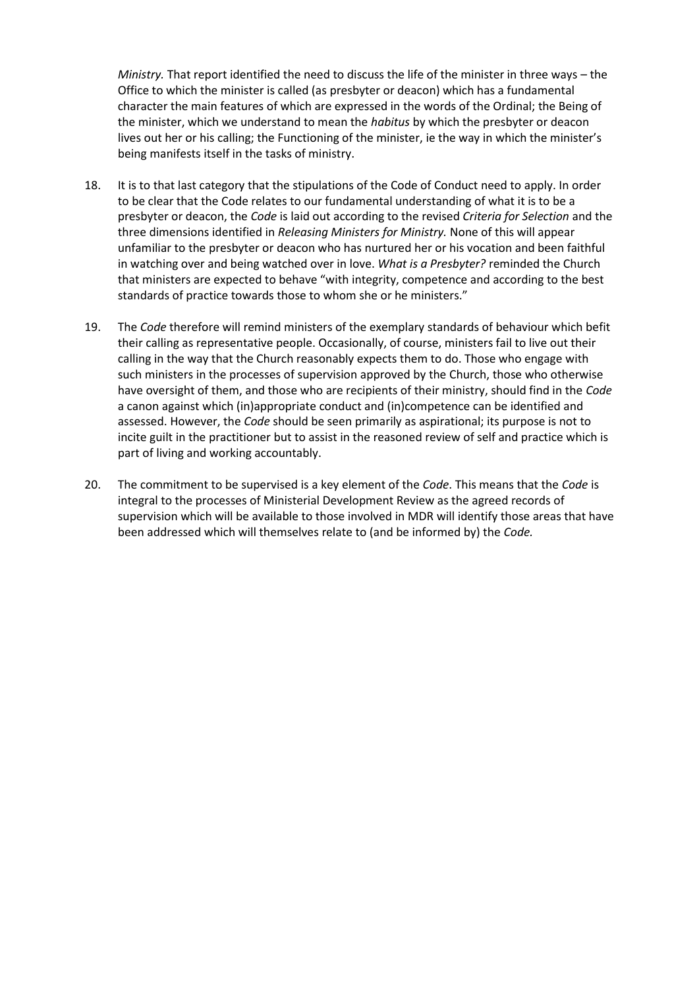*Ministry.* That report identified the need to discuss the life of the minister in three ways – the Office to which the minister is called (as presbyter or deacon) which has a fundamental character the main features of which are expressed in the words of the Ordinal; the Being of the minister, which we understand to mean the *habitus* by which the presbyter or deacon lives out her or his calling; the Functioning of the minister, ie the way in which the minister's being manifests itself in the tasks of ministry.

- 18. It is to that last category that the stipulations of the Code of Conduct need to apply. In order to be clear that the Code relates to our fundamental understanding of what it is to be a presbyter or deacon, the *Code* is laid out according to the revised *Criteria for Selection* and the three dimensions identified in *Releasing Ministers for Ministry.* None of this will appear unfamiliar to the presbyter or deacon who has nurtured her or his vocation and been faithful in watching over and being watched over in love. *What is a Presbyter?* reminded the Church that ministers are expected to behave "with integrity, competence and according to the best standards of practice towards those to whom she or he ministers."
- 19. The *Code* therefore will remind ministers of the exemplary standards of behaviour which befit their calling as representative people. Occasionally, of course, ministers fail to live out their calling in the way that the Church reasonably expects them to do. Those who engage with such ministers in the processes of supervision approved by the Church, those who otherwise have oversight of them, and those who are recipients of their ministry, should find in the *Code*  a canon against which (in)appropriate conduct and (in)competence can be identified and assessed. However, the *Code* should be seen primarily as aspirational; its purpose is not to incite guilt in the practitioner but to assist in the reasoned review of self and practice which is part of living and working accountably.
- 20. The commitment to be supervised is a key element of the *Code*. This means that the *Code* is integral to the processes of Ministerial Development Review as the agreed records of supervision which will be available to those involved in MDR will identify those areas that have been addressed which will themselves relate to (and be informed by) the *Code.*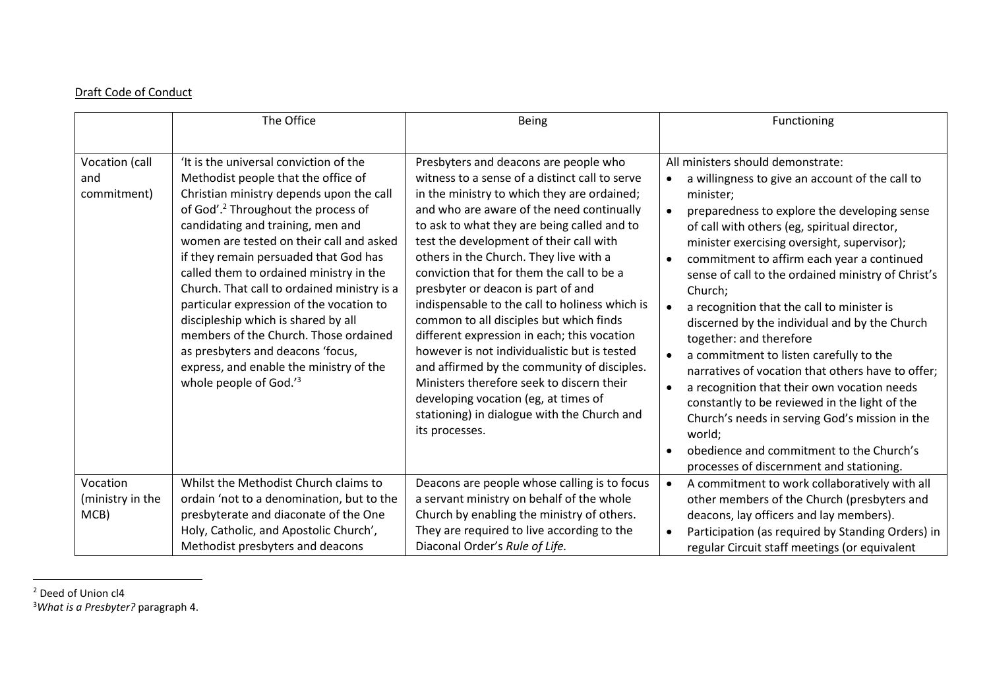## Draft Code of Conduct

|                                      | The Office                                                                                                                                                                                                                                                                                                                                                                                                                                                                                                                                                                                                                             | Being                                                                                                                                                                                                                                                                                                                                                                                                                                                                                                                                                                                                                                                                                                                                                                                                       | Functioning                                                                                                                                                                                                                                                                                                                                                                                                                                                                                                                                                                                                                                                                                                                                                                                                                                                |
|--------------------------------------|----------------------------------------------------------------------------------------------------------------------------------------------------------------------------------------------------------------------------------------------------------------------------------------------------------------------------------------------------------------------------------------------------------------------------------------------------------------------------------------------------------------------------------------------------------------------------------------------------------------------------------------|-------------------------------------------------------------------------------------------------------------------------------------------------------------------------------------------------------------------------------------------------------------------------------------------------------------------------------------------------------------------------------------------------------------------------------------------------------------------------------------------------------------------------------------------------------------------------------------------------------------------------------------------------------------------------------------------------------------------------------------------------------------------------------------------------------------|------------------------------------------------------------------------------------------------------------------------------------------------------------------------------------------------------------------------------------------------------------------------------------------------------------------------------------------------------------------------------------------------------------------------------------------------------------------------------------------------------------------------------------------------------------------------------------------------------------------------------------------------------------------------------------------------------------------------------------------------------------------------------------------------------------------------------------------------------------|
| Vocation (call<br>and<br>commitment) | 'It is the universal conviction of the<br>Methodist people that the office of<br>Christian ministry depends upon the call<br>of God'. <sup>2</sup> Throughout the process of<br>candidating and training, men and<br>women are tested on their call and asked<br>if they remain persuaded that God has<br>called them to ordained ministry in the<br>Church. That call to ordained ministry is a<br>particular expression of the vocation to<br>discipleship which is shared by all<br>members of the Church. Those ordained<br>as presbyters and deacons 'focus,<br>express, and enable the ministry of the<br>whole people of God.'3 | Presbyters and deacons are people who<br>witness to a sense of a distinct call to serve<br>in the ministry to which they are ordained;<br>and who are aware of the need continually<br>to ask to what they are being called and to<br>test the development of their call with<br>others in the Church. They live with a<br>conviction that for them the call to be a<br>presbyter or deacon is part of and<br>indispensable to the call to holiness which is<br>common to all disciples but which finds<br>different expression in each; this vocation<br>however is not individualistic but is tested<br>and affirmed by the community of disciples.<br>Ministers therefore seek to discern their<br>developing vocation (eg, at times of<br>stationing) in dialogue with the Church and<br>its processes. | All ministers should demonstrate:<br>a willingness to give an account of the call to<br>$\bullet$<br>minister;<br>preparedness to explore the developing sense<br>of call with others (eg, spiritual director,<br>minister exercising oversight, supervisor);<br>commitment to affirm each year a continued<br>sense of call to the ordained ministry of Christ's<br>Church;<br>a recognition that the call to minister is<br>discerned by the individual and by the Church<br>together: and therefore<br>a commitment to listen carefully to the<br>narratives of vocation that others have to offer;<br>a recognition that their own vocation needs<br>constantly to be reviewed in the light of the<br>Church's needs in serving God's mission in the<br>world;<br>obedience and commitment to the Church's<br>processes of discernment and stationing. |
| Vocation<br>(ministry in the<br>MCB) | Whilst the Methodist Church claims to<br>ordain 'not to a denomination, but to the<br>presbyterate and diaconate of the One<br>Holy, Catholic, and Apostolic Church',                                                                                                                                                                                                                                                                                                                                                                                                                                                                  | Deacons are people whose calling is to focus<br>a servant ministry on behalf of the whole<br>Church by enabling the ministry of others.<br>They are required to live according to the                                                                                                                                                                                                                                                                                                                                                                                                                                                                                                                                                                                                                       | A commitment to work collaboratively with all<br>other members of the Church (presbyters and<br>deacons, lay officers and lay members).<br>Participation (as required by Standing Orders) in                                                                                                                                                                                                                                                                                                                                                                                                                                                                                                                                                                                                                                                               |
|                                      | Methodist presbyters and deacons                                                                                                                                                                                                                                                                                                                                                                                                                                                                                                                                                                                                       | Diaconal Order's Rule of Life.                                                                                                                                                                                                                                                                                                                                                                                                                                                                                                                                                                                                                                                                                                                                                                              | regular Circuit staff meetings (or equivalent                                                                                                                                                                                                                                                                                                                                                                                                                                                                                                                                                                                                                                                                                                                                                                                                              |

<sup>&</sup>lt;sup>2</sup> Deed of Union cl4

<sup>3</sup>*What is a Presbyter?* paragraph 4.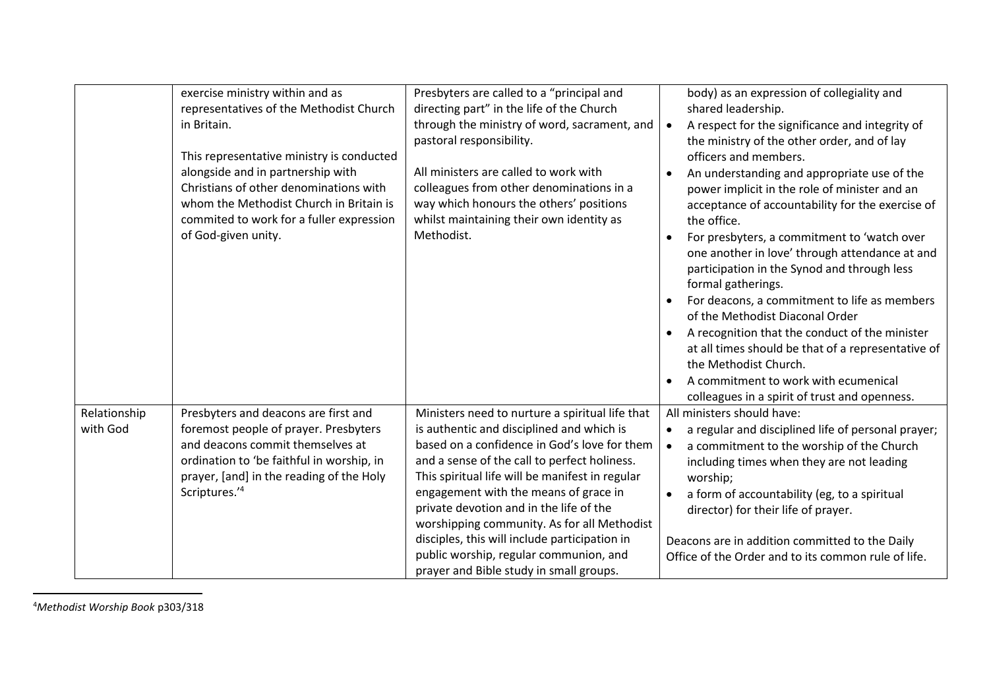|                          | exercise ministry within and as<br>representatives of the Methodist Church<br>in Britain.<br>This representative ministry is conducted<br>alongside and in partnership with<br>Christians of other denominations with<br>whom the Methodist Church in Britain is<br>commited to work for a fuller expression<br>of God-given unity. | Presbyters are called to a "principal and<br>directing part" in the life of the Church<br>through the ministry of word, sacrament, and<br>pastoral responsibility.<br>All ministers are called to work with<br>colleagues from other denominations in a<br>way which honours the others' positions<br>whilst maintaining their own identity as<br>Methodist.                                                                                                                                                             | body) as an expression of collegiality and<br>shared leadership.<br>A respect for the significance and integrity of<br>the ministry of the other order, and of lay<br>officers and members.<br>An understanding and appropriate use of the<br>power implicit in the role of minister and an<br>acceptance of accountability for the exercise of<br>the office.<br>For presbyters, a commitment to 'watch over<br>one another in love' through attendance at and<br>participation in the Synod and through less<br>formal gatherings.<br>For deacons, a commitment to life as members<br>of the Methodist Diaconal Order<br>A recognition that the conduct of the minister<br>$\bullet$<br>at all times should be that of a representative of<br>the Methodist Church.<br>A commitment to work with ecumenical<br>colleagues in a spirit of trust and openness. |
|--------------------------|-------------------------------------------------------------------------------------------------------------------------------------------------------------------------------------------------------------------------------------------------------------------------------------------------------------------------------------|--------------------------------------------------------------------------------------------------------------------------------------------------------------------------------------------------------------------------------------------------------------------------------------------------------------------------------------------------------------------------------------------------------------------------------------------------------------------------------------------------------------------------|----------------------------------------------------------------------------------------------------------------------------------------------------------------------------------------------------------------------------------------------------------------------------------------------------------------------------------------------------------------------------------------------------------------------------------------------------------------------------------------------------------------------------------------------------------------------------------------------------------------------------------------------------------------------------------------------------------------------------------------------------------------------------------------------------------------------------------------------------------------|
| Relationship<br>with God | Presbyters and deacons are first and<br>foremost people of prayer. Presbyters<br>and deacons commit themselves at<br>ordination to 'be faithful in worship, in<br>prayer, [and] in the reading of the Holy<br>Scriptures.'4                                                                                                         | Ministers need to nurture a spiritual life that<br>is authentic and disciplined and which is<br>based on a confidence in God's love for them<br>and a sense of the call to perfect holiness.<br>This spiritual life will be manifest in regular<br>engagement with the means of grace in<br>private devotion and in the life of the<br>worshipping community. As for all Methodist<br>disciples, this will include participation in<br>public worship, regular communion, and<br>prayer and Bible study in small groups. | All ministers should have:<br>a regular and disciplined life of personal prayer;<br>a commitment to the worship of the Church<br>$\bullet$<br>including times when they are not leading<br>worship;<br>a form of accountability (eg, to a spiritual<br>director) for their life of prayer.<br>Deacons are in addition committed to the Daily<br>Office of the Order and to its common rule of life.                                                                                                                                                                                                                                                                                                                                                                                                                                                            |

<sup>4</sup>*Methodist Worship Book* p303/318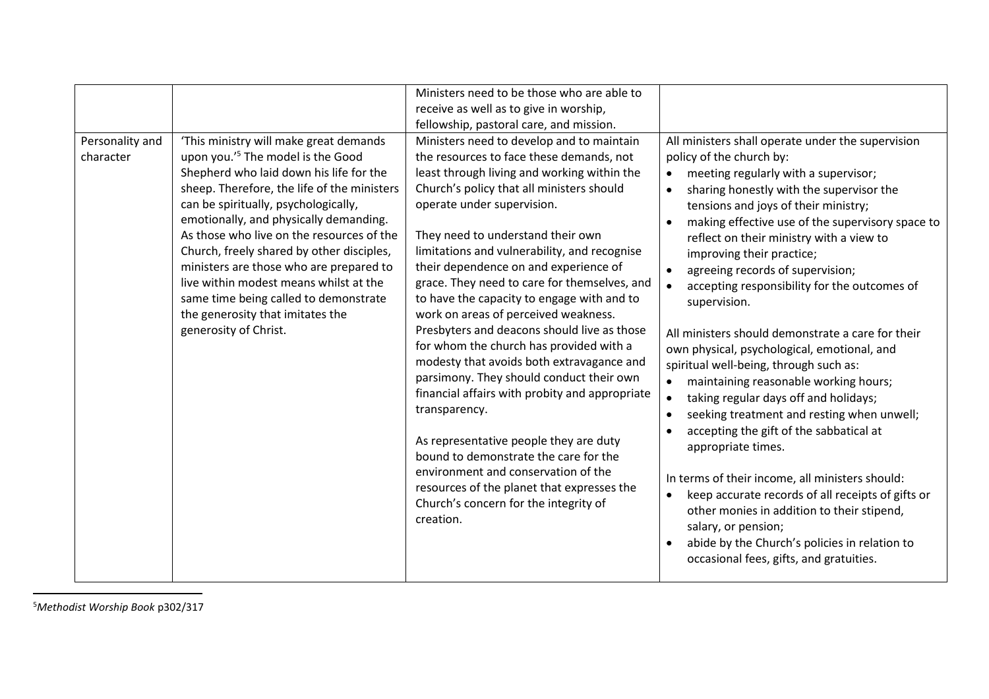| Personality and | 'This ministry will make great demands                                                                                                                                                                                                                                                                                                                                                                                                                                                                         | Ministers need to be those who are able to<br>receive as well as to give in worship,<br>fellowship, pastoral care, and mission.<br>Ministers need to develop and to maintain                                                                                                                                                                                                                                                                                                                                                                                                                                                                                                                                                                                                                                                                                                                                               | All ministers shall operate under the supervision                                                                                                                                                                                                                                                                                                                                                                                                                                                                                                                                                                                                                                                                                                                                                                                                                                                                                                                                                                                                    |
|-----------------|----------------------------------------------------------------------------------------------------------------------------------------------------------------------------------------------------------------------------------------------------------------------------------------------------------------------------------------------------------------------------------------------------------------------------------------------------------------------------------------------------------------|----------------------------------------------------------------------------------------------------------------------------------------------------------------------------------------------------------------------------------------------------------------------------------------------------------------------------------------------------------------------------------------------------------------------------------------------------------------------------------------------------------------------------------------------------------------------------------------------------------------------------------------------------------------------------------------------------------------------------------------------------------------------------------------------------------------------------------------------------------------------------------------------------------------------------|------------------------------------------------------------------------------------------------------------------------------------------------------------------------------------------------------------------------------------------------------------------------------------------------------------------------------------------------------------------------------------------------------------------------------------------------------------------------------------------------------------------------------------------------------------------------------------------------------------------------------------------------------------------------------------------------------------------------------------------------------------------------------------------------------------------------------------------------------------------------------------------------------------------------------------------------------------------------------------------------------------------------------------------------------|
| character       | upon you.' <sup>5</sup> The model is the Good<br>Shepherd who laid down his life for the<br>sheep. Therefore, the life of the ministers<br>can be spiritually, psychologically,<br>emotionally, and physically demanding.<br>As those who live on the resources of the<br>Church, freely shared by other disciples,<br>ministers are those who are prepared to<br>live within modest means whilst at the<br>same time being called to demonstrate<br>the generosity that imitates the<br>generosity of Christ. | the resources to face these demands, not<br>least through living and working within the<br>Church's policy that all ministers should<br>operate under supervision.<br>They need to understand their own<br>limitations and vulnerability, and recognise<br>their dependence on and experience of<br>grace. They need to care for themselves, and<br>to have the capacity to engage with and to<br>work on areas of perceived weakness.<br>Presbyters and deacons should live as those<br>for whom the church has provided with a<br>modesty that avoids both extravagance and<br>parsimony. They should conduct their own<br>financial affairs with probity and appropriate<br>transparency.<br>As representative people they are duty<br>bound to demonstrate the care for the<br>environment and conservation of the<br>resources of the planet that expresses the<br>Church's concern for the integrity of<br>creation. | policy of the church by:<br>meeting regularly with a supervisor;<br>$\bullet$<br>sharing honestly with the supervisor the<br>tensions and joys of their ministry;<br>making effective use of the supervisory space to<br>reflect on their ministry with a view to<br>improving their practice;<br>agreeing records of supervision;<br>accepting responsibility for the outcomes of<br>supervision.<br>All ministers should demonstrate a care for their<br>own physical, psychological, emotional, and<br>spiritual well-being, through such as:<br>maintaining reasonable working hours;<br>$\bullet$<br>taking regular days off and holidays;<br>seeking treatment and resting when unwell;<br>accepting the gift of the sabbatical at<br>appropriate times.<br>In terms of their income, all ministers should:<br>keep accurate records of all receipts of gifts or<br>$\bullet$<br>other monies in addition to their stipend,<br>salary, or pension;<br>abide by the Church's policies in relation to<br>occasional fees, gifts, and gratuities. |

<sup>5</sup>*Methodist Worship Book* p302/317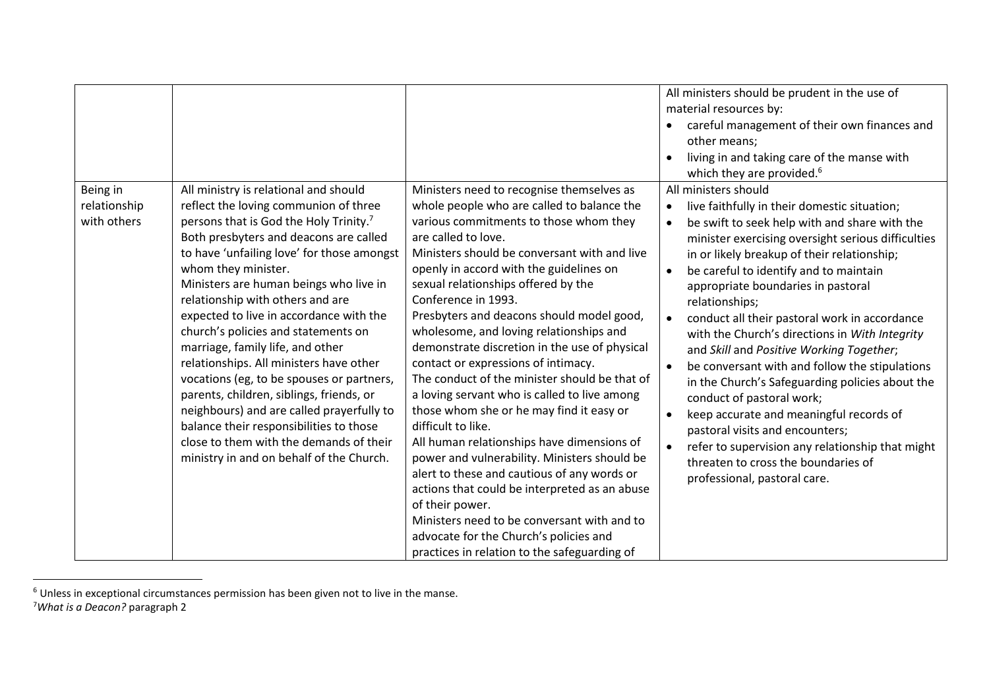|                                         |                                                                                                                                                                                                                                                                                                                                                                                                                                                                                                                                                                                                                                                                                                                                                                            |                                                                                                                                                                                                                                                                                                                                                                                                                                                                                                                                                                                                                                                                                                                                                                                                                                                                                                                                                                                                                                | All ministers should be prudent in the use of<br>material resources by:<br>careful management of their own finances and<br>$\bullet$<br>other means;<br>living in and taking care of the manse with<br>$\bullet$<br>which they are provided. <sup>6</sup>                                                                                                                                                                                                                                                                                                                                                                                                                                                                                                                                                                                                                                                         |
|-----------------------------------------|----------------------------------------------------------------------------------------------------------------------------------------------------------------------------------------------------------------------------------------------------------------------------------------------------------------------------------------------------------------------------------------------------------------------------------------------------------------------------------------------------------------------------------------------------------------------------------------------------------------------------------------------------------------------------------------------------------------------------------------------------------------------------|--------------------------------------------------------------------------------------------------------------------------------------------------------------------------------------------------------------------------------------------------------------------------------------------------------------------------------------------------------------------------------------------------------------------------------------------------------------------------------------------------------------------------------------------------------------------------------------------------------------------------------------------------------------------------------------------------------------------------------------------------------------------------------------------------------------------------------------------------------------------------------------------------------------------------------------------------------------------------------------------------------------------------------|-------------------------------------------------------------------------------------------------------------------------------------------------------------------------------------------------------------------------------------------------------------------------------------------------------------------------------------------------------------------------------------------------------------------------------------------------------------------------------------------------------------------------------------------------------------------------------------------------------------------------------------------------------------------------------------------------------------------------------------------------------------------------------------------------------------------------------------------------------------------------------------------------------------------|
| Being in<br>relationship<br>with others | All ministry is relational and should<br>reflect the loving communion of three<br>persons that is God the Holy Trinity. <sup>7</sup><br>Both presbyters and deacons are called<br>to have 'unfailing love' for those amongst<br>whom they minister.<br>Ministers are human beings who live in<br>relationship with others and are<br>expected to live in accordance with the<br>church's policies and statements on<br>marriage, family life, and other<br>relationships. All ministers have other<br>vocations (eg, to be spouses or partners,<br>parents, children, siblings, friends, or<br>neighbours) and are called prayerfully to<br>balance their responsibilities to those<br>close to them with the demands of their<br>ministry in and on behalf of the Church. | Ministers need to recognise themselves as<br>whole people who are called to balance the<br>various commitments to those whom they<br>are called to love.<br>Ministers should be conversant with and live<br>openly in accord with the guidelines on<br>sexual relationships offered by the<br>Conference in 1993.<br>Presbyters and deacons should model good,<br>wholesome, and loving relationships and<br>demonstrate discretion in the use of physical<br>contact or expressions of intimacy.<br>The conduct of the minister should be that of<br>a loving servant who is called to live among<br>those whom she or he may find it easy or<br>difficult to like.<br>All human relationships have dimensions of<br>power and vulnerability. Ministers should be<br>alert to these and cautious of any words or<br>actions that could be interpreted as an abuse<br>of their power.<br>Ministers need to be conversant with and to<br>advocate for the Church's policies and<br>practices in relation to the safeguarding of | All ministers should<br>live faithfully in their domestic situation;<br>$\bullet$<br>be swift to seek help with and share with the<br>$\bullet$<br>minister exercising oversight serious difficulties<br>in or likely breakup of their relationship;<br>be careful to identify and to maintain<br>$\bullet$<br>appropriate boundaries in pastoral<br>relationships;<br>conduct all their pastoral work in accordance<br>$\bullet$<br>with the Church's directions in With Integrity<br>and Skill and Positive Working Together;<br>be conversant with and follow the stipulations<br>$\bullet$<br>in the Church's Safeguarding policies about the<br>conduct of pastoral work;<br>keep accurate and meaningful records of<br>$\bullet$<br>pastoral visits and encounters;<br>refer to supervision any relationship that might<br>$\bullet$<br>threaten to cross the boundaries of<br>professional, pastoral care. |

 $6$  Unless in exceptional circumstances permission has been given not to live in the manse.

<sup>7</sup>*What is a Deacon?* paragraph 2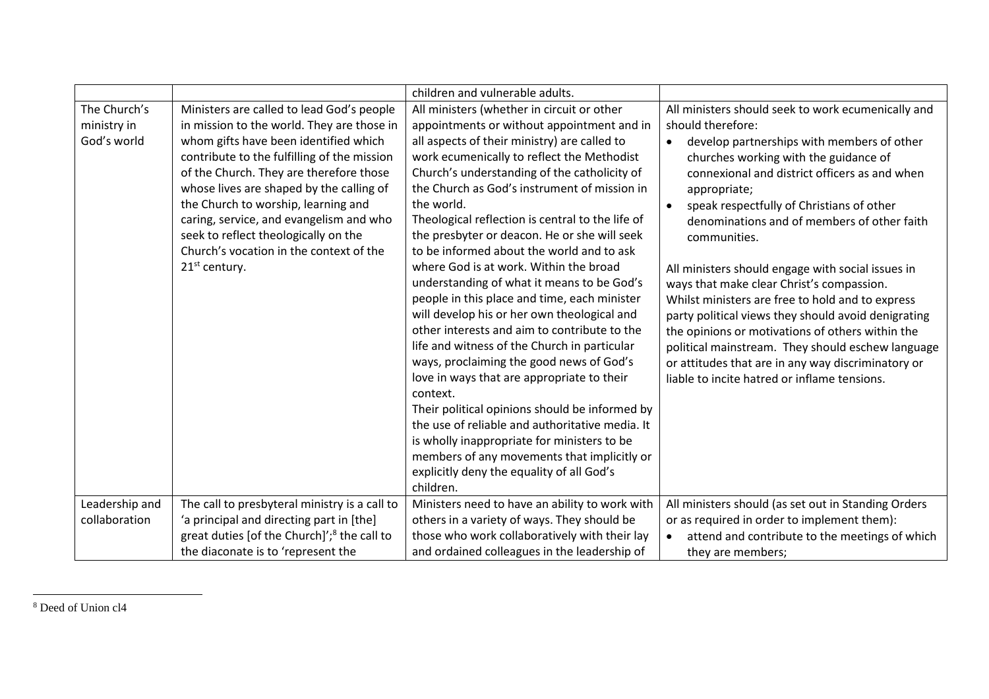|                                            |                                                                                                                                                                                                                                                                                                                                                                                                                                                                | children and vulnerable adults.                                                                                                                                                                                                                                                                                                                                                                                                                                                                                                                                                                                                                                                                                                                                                                                                                                                                                                                                                                                                                                                                                 |                                                                                                                                                                                                                                                                                                                                                                                                                                                                                                                                                                                                                                                                                                                                                                         |
|--------------------------------------------|----------------------------------------------------------------------------------------------------------------------------------------------------------------------------------------------------------------------------------------------------------------------------------------------------------------------------------------------------------------------------------------------------------------------------------------------------------------|-----------------------------------------------------------------------------------------------------------------------------------------------------------------------------------------------------------------------------------------------------------------------------------------------------------------------------------------------------------------------------------------------------------------------------------------------------------------------------------------------------------------------------------------------------------------------------------------------------------------------------------------------------------------------------------------------------------------------------------------------------------------------------------------------------------------------------------------------------------------------------------------------------------------------------------------------------------------------------------------------------------------------------------------------------------------------------------------------------------------|-------------------------------------------------------------------------------------------------------------------------------------------------------------------------------------------------------------------------------------------------------------------------------------------------------------------------------------------------------------------------------------------------------------------------------------------------------------------------------------------------------------------------------------------------------------------------------------------------------------------------------------------------------------------------------------------------------------------------------------------------------------------------|
| The Church's<br>ministry in<br>God's world | Ministers are called to lead God's people<br>in mission to the world. They are those in<br>whom gifts have been identified which<br>contribute to the fulfilling of the mission<br>of the Church. They are therefore those<br>whose lives are shaped by the calling of<br>the Church to worship, learning and<br>caring, service, and evangelism and who<br>seek to reflect theologically on the<br>Church's vocation in the context of the<br>$21st$ century. | All ministers (whether in circuit or other<br>appointments or without appointment and in<br>all aspects of their ministry) are called to<br>work ecumenically to reflect the Methodist<br>Church's understanding of the catholicity of<br>the Church as God's instrument of mission in<br>the world.<br>Theological reflection is central to the life of<br>the presbyter or deacon. He or she will seek<br>to be informed about the world and to ask<br>where God is at work. Within the broad<br>understanding of what it means to be God's<br>people in this place and time, each minister<br>will develop his or her own theological and<br>other interests and aim to contribute to the<br>life and witness of the Church in particular<br>ways, proclaiming the good news of God's<br>love in ways that are appropriate to their<br>context.<br>Their political opinions should be informed by<br>the use of reliable and authoritative media. It<br>is wholly inappropriate for ministers to be<br>members of any movements that implicitly or<br>explicitly deny the equality of all God's<br>children. | All ministers should seek to work ecumenically and<br>should therefore:<br>develop partnerships with members of other<br>churches working with the guidance of<br>connexional and district officers as and when<br>appropriate;<br>speak respectfully of Christians of other<br>denominations and of members of other faith<br>communities.<br>All ministers should engage with social issues in<br>ways that make clear Christ's compassion.<br>Whilst ministers are free to hold and to express<br>party political views they should avoid denigrating<br>the opinions or motivations of others within the<br>political mainstream. They should eschew language<br>or attitudes that are in any way discriminatory or<br>liable to incite hatred or inflame tensions. |
| Leadership and<br>collaboration            | The call to presbyteral ministry is a call to<br>'a principal and directing part in [the]<br>great duties [of the Church]'; <sup>8</sup> the call to<br>the diaconate is to 'represent the                                                                                                                                                                                                                                                                     | Ministers need to have an ability to work with<br>others in a variety of ways. They should be<br>those who work collaboratively with their lay<br>and ordained colleagues in the leadership of                                                                                                                                                                                                                                                                                                                                                                                                                                                                                                                                                                                                                                                                                                                                                                                                                                                                                                                  | All ministers should (as set out in Standing Orders<br>or as required in order to implement them):<br>attend and contribute to the meetings of which<br>they are members;                                                                                                                                                                                                                                                                                                                                                                                                                                                                                                                                                                                               |

 <sup>8</sup> Deed of Union cl4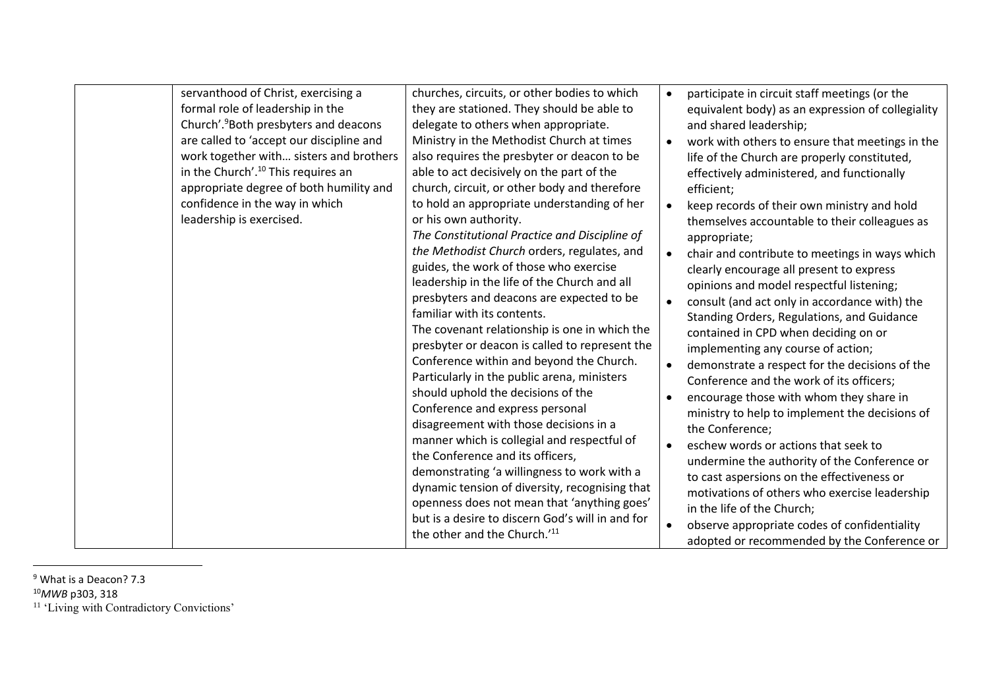| servanthood of Christ, exercising a               | churches, circuits, or other bodies to which     | participate in circuit staff meetings (or the     |
|---------------------------------------------------|--------------------------------------------------|---------------------------------------------------|
| formal role of leadership in the                  | they are stationed. They should be able to       | equivalent body) as an expression of collegiality |
| Church'. <sup>9</sup> Both presbyters and deacons | delegate to others when appropriate.             | and shared leadership;                            |
| are called to 'accept our discipline and          | Ministry in the Methodist Church at times        | work with others to ensure that meetings in the   |
| work together with sisters and brothers           | also requires the presbyter or deacon to be      | life of the Church are properly constituted,      |
| in the Church'. <sup>10</sup> This requires an    | able to act decisively on the part of the        | effectively administered, and functionally        |
| appropriate degree of both humility and           | church, circuit, or other body and therefore     | efficient;                                        |
| confidence in the way in which                    | to hold an appropriate understanding of her      | keep records of their own ministry and hold       |
| leadership is exercised.                          | or his own authority.                            | themselves accountable to their colleagues as     |
|                                                   | The Constitutional Practice and Discipline of    | appropriate;                                      |
|                                                   | the Methodist Church orders, regulates, and      | chair and contribute to meetings in ways which    |
|                                                   | guides, the work of those who exercise           | clearly encourage all present to express          |
|                                                   | leadership in the life of the Church and all     | opinions and model respectful listening;          |
|                                                   | presbyters and deacons are expected to be        | consult (and act only in accordance with) the     |
|                                                   | familiar with its contents.                      | Standing Orders, Regulations, and Guidance        |
|                                                   | The covenant relationship is one in which the    | contained in CPD when deciding on or              |
|                                                   | presbyter or deacon is called to represent the   | implementing any course of action;                |
|                                                   | Conference within and beyond the Church.         | demonstrate a respect for the decisions of the    |
|                                                   | Particularly in the public arena, ministers      | Conference and the work of its officers;          |
|                                                   | should uphold the decisions of the               | encourage those with whom they share in           |
|                                                   | Conference and express personal                  | ministry to help to implement the decisions of    |
|                                                   | disagreement with those decisions in a           | the Conference;                                   |
|                                                   | manner which is collegial and respectful of      | eschew words or actions that seek to              |
|                                                   | the Conference and its officers,                 | undermine the authority of the Conference or      |
|                                                   | demonstrating 'a willingness to work with a      | to cast aspersions on the effectiveness or        |
|                                                   | dynamic tension of diversity, recognising that   | motivations of others who exercise leadership     |
|                                                   | openness does not mean that 'anything goes'      | in the life of the Church;                        |
|                                                   | but is a desire to discern God's will in and for | observe appropriate codes of confidentiality      |
|                                                   | the other and the Church.'11                     | adopted or recommended by the Conference or       |

<sup>&</sup>lt;sup>9</sup> What is a Deacon? 7.3

<sup>10</sup>*MWB* p303, 318

<sup>&</sup>lt;sup>11</sup> 'Living with Contradictory Convictions'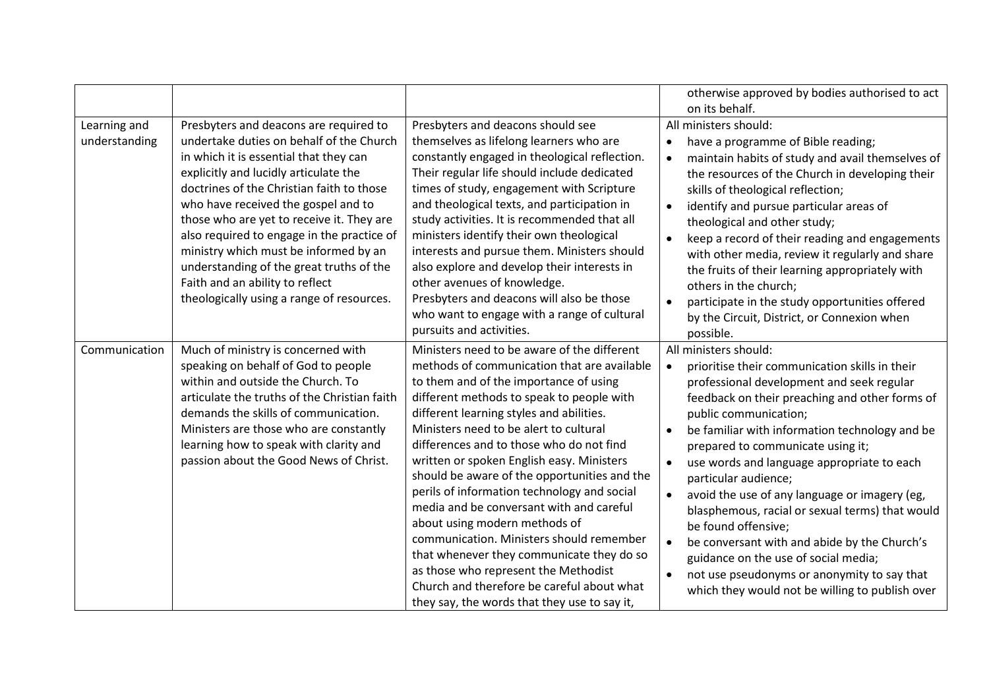|               |                                              |                                               | otherwise approved by bodies authorised to act<br>on its behalf. |
|---------------|----------------------------------------------|-----------------------------------------------|------------------------------------------------------------------|
|               |                                              |                                               |                                                                  |
| Learning and  | Presbyters and deacons are required to       | Presbyters and deacons should see             | All ministers should:                                            |
| understanding | undertake duties on behalf of the Church     | themselves as lifelong learners who are       | have a programme of Bible reading;                               |
|               | in which it is essential that they can       | constantly engaged in theological reflection. | maintain habits of study and avail themselves of                 |
|               | explicitly and lucidly articulate the        | Their regular life should include dedicated   | the resources of the Church in developing their                  |
|               | doctrines of the Christian faith to those    | times of study, engagement with Scripture     | skills of theological reflection;                                |
|               | who have received the gospel and to          | and theological texts, and participation in   | identify and pursue particular areas of<br>$\bullet$             |
|               | those who are yet to receive it. They are    | study activities. It is recommended that all  | theological and other study;                                     |
|               | also required to engage in the practice of   | ministers identify their own theological      | keep a record of their reading and engagements                   |
|               | ministry which must be informed by an        | interests and pursue them. Ministers should   | with other media, review it regularly and share                  |
|               | understanding of the great truths of the     | also explore and develop their interests in   | the fruits of their learning appropriately with                  |
|               | Faith and an ability to reflect              | other avenues of knowledge.                   | others in the church;                                            |
|               | theologically using a range of resources.    | Presbyters and deacons will also be those     | participate in the study opportunities offered                   |
|               |                                              | who want to engage with a range of cultural   | by the Circuit, District, or Connexion when                      |
|               |                                              | pursuits and activities.                      | possible.                                                        |
| Communication | Much of ministry is concerned with           | Ministers need to be aware of the different   | All ministers should:                                            |
|               | speaking on behalf of God to people          | methods of communication that are available   | prioritise their communication skills in their<br>$\bullet$      |
|               | within and outside the Church. To            | to them and of the importance of using        | professional development and seek regular                        |
|               | articulate the truths of the Christian faith | different methods to speak to people with     | feedback on their preaching and other forms of                   |
|               | demands the skills of communication.         | different learning styles and abilities.      | public communication;                                            |
|               | Ministers are those who are constantly       | Ministers need to be alert to cultural        |                                                                  |
|               | learning how to speak with clarity and       | differences and to those who do not find      | be familiar with information technology and be                   |
|               |                                              |                                               | prepared to communicate using it;                                |
|               | passion about the Good News of Christ.       | written or spoken English easy. Ministers     | use words and language appropriate to each                       |
|               |                                              | should be aware of the opportunities and the  | particular audience;                                             |
|               |                                              | perils of information technology and social   | avoid the use of any language or imagery (eg,<br>$\bullet$       |
|               |                                              | media and be conversant with and careful      | blasphemous, racial or sexual terms) that would                  |
|               |                                              | about using modern methods of                 | be found offensive;                                              |
|               |                                              | communication. Ministers should remember      | be conversant with and abide by the Church's                     |
|               |                                              | that whenever they communicate they do so     | guidance on the use of social media;                             |
|               |                                              | as those who represent the Methodist          | not use pseudonyms or anonymity to say that                      |
|               |                                              | Church and therefore be careful about what    | which they would not be willing to publish over                  |
|               |                                              | they say, the words that they use to say it,  |                                                                  |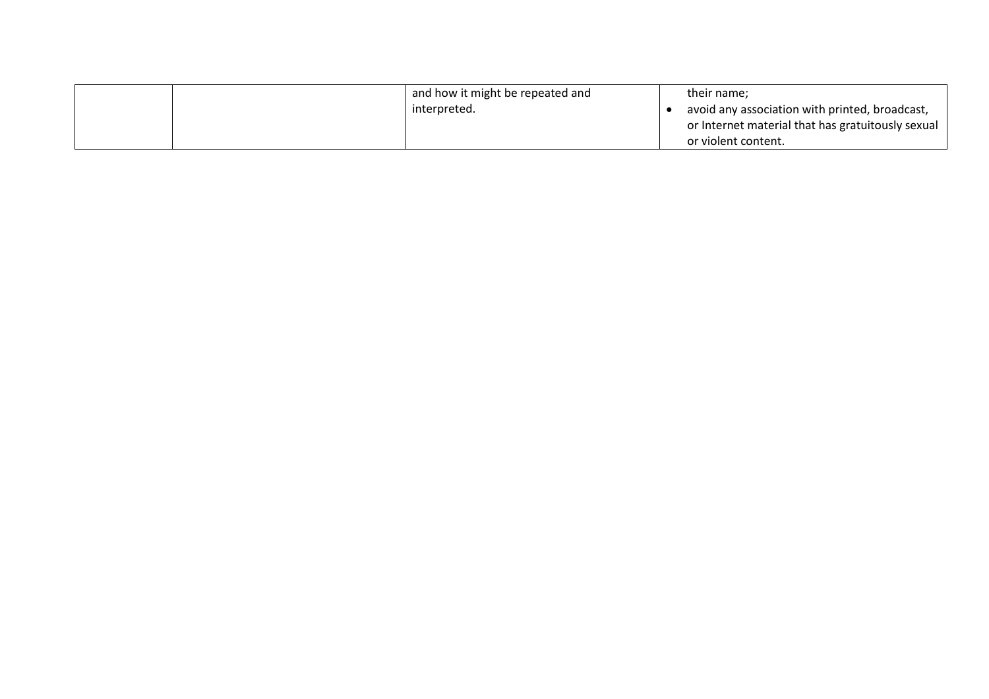|  | and how it might be repeated and | their name:                                       |
|--|----------------------------------|---------------------------------------------------|
|  | interpreted.                     | avoid any association with printed, broadcast,    |
|  |                                  | or Internet material that has gratuitously sexual |
|  |                                  | or violent content.                               |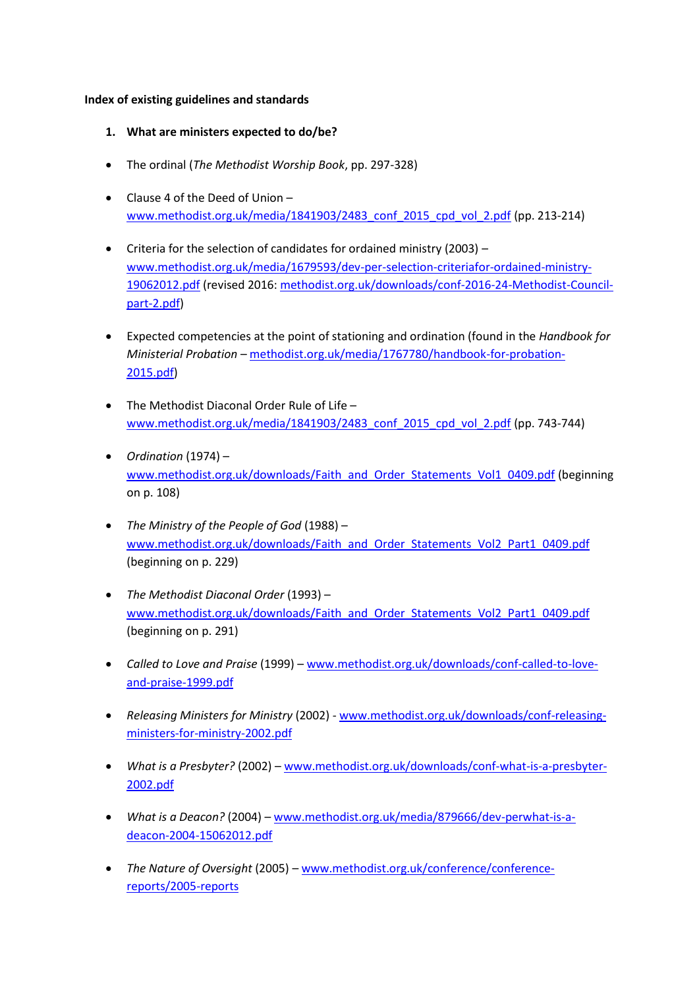#### **Index of existing guidelines and standards**

- **1. What are ministers expected to do/be?**
- The ordinal (*The Methodist Worship Book*, pp. 297-328)
- Clause 4 of the Deed of Union [www.methodist.org.uk/media/1841903/2483\\_conf\\_2015\\_cpd\\_vol\\_2.pdf](http://www.methodist.org.uk/media/1841903/2483_conf_2015_cpd_vol_2.pdf) (pp. 213-214)
- Criteria for the selection of candidates for ordained ministry (2003) [www.methodist.org.uk/media/1679593/dev-per-selection-criteriafor-ordained-ministry-](http://www.methodist.org.uk/media/1679593/dev-per-selection-criteriafor-ordained-ministry-19062012.pdf)[19062012.pdf](http://www.methodist.org.uk/media/1679593/dev-per-selection-criteriafor-ordained-ministry-19062012.pdf) (revised 2016[: methodist.org.uk/downloads/conf-2016-24-Methodist-Council](http://methodist.org.uk/downloads/conf-2016-24-Methodist-Council-part-2.pdf)[part-2.pdf\)](http://methodist.org.uk/downloads/conf-2016-24-Methodist-Council-part-2.pdf)
- Expected competencies at the point of stationing and ordination (found in the *Handbook for Ministerial Probation* – [methodist.org.uk/media/1767780/handbook-for-probation-](http://methodist.org.uk/media/1767780/handbook-for-probation-2015.pdf)[2015.pdf\)](http://methodist.org.uk/media/1767780/handbook-for-probation-2015.pdf)
- The Methodist Diaconal Order Rule of Life [www.methodist.org.uk/media/1841903/2483\\_conf\\_2015\\_cpd\\_vol\\_2.pdf](http://www.methodist.org.uk/media/1841903/2483_conf_2015_cpd_vol_2.pdf) (pp. 743-744)
- *Ordination* (1974) [www.methodist.org.uk/downloads/Faith\\_and\\_Order\\_Statements\\_Vol1\\_0409.pdf](http://www.methodist.org.uk/downloads/Faith_and_Order_Statements_Vol1_0409.pdf) (beginning on p. 108)
- *The Ministry of the People of God* (1988) [www.methodist.org.uk/downloads/Faith\\_and\\_Order\\_Statements\\_Vol2\\_Part1\\_0409.pdf](http://www.methodist.org.uk/downloads/Faith_and_Order_Statements_Vol2_Part1_0409.pdf) (beginning on p. 229)
- *The Methodist Diaconal Order* (1993) [www.methodist.org.uk/downloads/Faith\\_and\\_Order\\_Statements\\_Vol2\\_Part1\\_0409.pdf](http://www.methodist.org.uk/downloads/Faith_and_Order_Statements_Vol2_Part1_0409.pdf) (beginning on p. 291)
- *Called to Love and Praise* (1999) [www.methodist.org.uk/downloads/conf-called-to-love](http://www.methodist.org.uk/downloads/conf-called-to-love-and-praise-1999.pdf)[and-praise-1999.pdf](http://www.methodist.org.uk/downloads/conf-called-to-love-and-praise-1999.pdf)
- *Releasing Ministers for Ministry* (2002) [www.methodist.org.uk/downloads/conf-releasing](http://www.methodist.org.uk/downloads/conf-releasing-ministers-for-ministry-2002.pdf)[ministers-for-ministry-2002.pdf](http://www.methodist.org.uk/downloads/conf-releasing-ministers-for-ministry-2002.pdf)
- *What is a Presbyter?* (2002) [www.methodist.org.uk/downloads/conf-what-is-a-presbyter-](http://www.methodist.org.uk/downloads/conf-what-is-a-presbyter-2002.pdf)[2002.pdf](http://www.methodist.org.uk/downloads/conf-what-is-a-presbyter-2002.pdf)
- *What is a Deacon?* (2004) [www.methodist.org.uk/media/879666/dev-perwhat-is-a](http://www.methodist.org.uk/media/879666/dev-perwhat-is-a-deacon-2004-15062012.pdf)[deacon-2004-15062012.pdf](http://www.methodist.org.uk/media/879666/dev-perwhat-is-a-deacon-2004-15062012.pdf)
- *The Nature of Oversight* (2005) [www.methodist.org.uk/conference/conference](http://www.methodist.org.uk/conference/conference-reports/2005-reports)[reports/2005-reports](http://www.methodist.org.uk/conference/conference-reports/2005-reports)